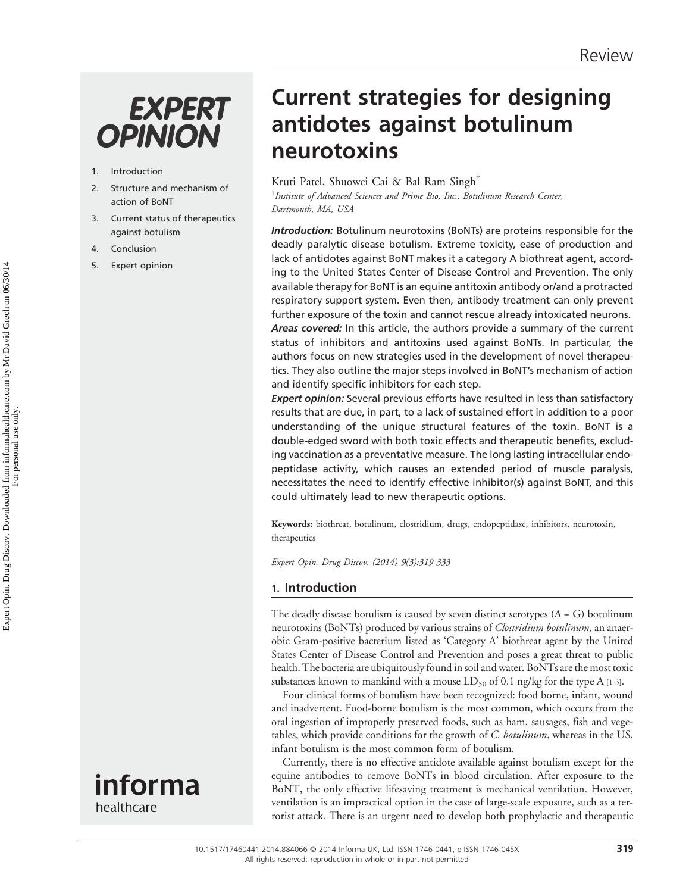# **EXPERT OPINION**

- 1. Introduction
- 2. Structure and mechanism of action of BoNT
- 3. Current status of therapeutics against botulism
- 4. Conclusion
- 5. Expert opinion



healthcare

## Current strategies for designing antidotes against botulinum neurotoxins

Kruti Patel, Shuowei Cai & Bal Ram Singh† † Institute of Advanced Sciences and Prime Bio, Inc., Botulinum Research Center, Dartmouth, MA, USA

Introduction: Botulinum neurotoxins (BoNTs) are proteins responsible for the deadly paralytic disease botulism. Extreme toxicity, ease of production and lack of antidotes against BoNT makes it a category A biothreat agent, according to the United States Center of Disease Control and Prevention. The only available therapy for BoNT is an equine antitoxin antibody or/and a protracted respiratory support system. Even then, antibody treatment can only prevent further exposure of the toxin and cannot rescue already intoxicated neurons. Areas covered: In this article, the authors provide a summary of the current status of inhibitors and antitoxins used against BoNTs. In particular, the authors focus on new strategies used in the development of novel therapeutics. They also outline the major steps involved in BoNT's mechanism of action and identify specific inhibitors for each step.

**Expert opinion:** Several previous efforts have resulted in less than satisfactory results that are due, in part, to a lack of sustained effort in addition to a poor understanding of the unique structural features of the toxin. BoNT is a double-edged sword with both toxic effects and therapeutic benefits, excluding vaccination as a preventative measure. The long lasting intracellular endopeptidase activity, which causes an extended period of muscle paralysis, necessitates the need to identify effective inhibitor(s) against BoNT, and this could ultimately lead to new therapeutic options.

Keywords: biothreat, botulinum, clostridium, drugs, endopeptidase, inhibitors, neurotoxin, therapeutics

[Expert Opin. Drug Discov.](http://informahealthcare.com/journal/EDC) (2014) 9(3):319-333

## 1. Introduction

The deadly disease botulism is caused by seven distinct serotypes  $(A - G)$  botulinum neurotoxins (BoNTs) produced by various strains of *Clostridium botulinum*, an anaerobic Gram-positive bacterium listed as 'Category A' biothreat agent by the United States Center of Disease Control and Prevention and poses a great threat to public health. The bacteria are ubiquitously found in soil and water. BoNTs are the most toxic substances known to mankind with a mouse  $LD_{50}$  of 0.1 ng/kg for the type A [[1-3\]](#page-10-0).

Four clinical forms of botulism have been recognized: food borne, infant, wound and inadvertent. Food-borne botulism is the most common, which occurs from the oral ingestion of improperly preserved foods, such as ham, sausages, fish and vegetables, which provide conditions for the growth of C. botulinum, whereas in the US, infant botulism is the most common form of botulism.

Currently, there is no effective antidote available against botulism except for the equine antibodies to remove BoNTs in blood circulation. After exposure to the BoNT, the only effective lifesaving treatment is mechanical ventilation. However, ventilation is an impractical option in the case of large-scale exposure, such as a terrorist attack. There is an urgent need to develop both prophylactic and therapeutic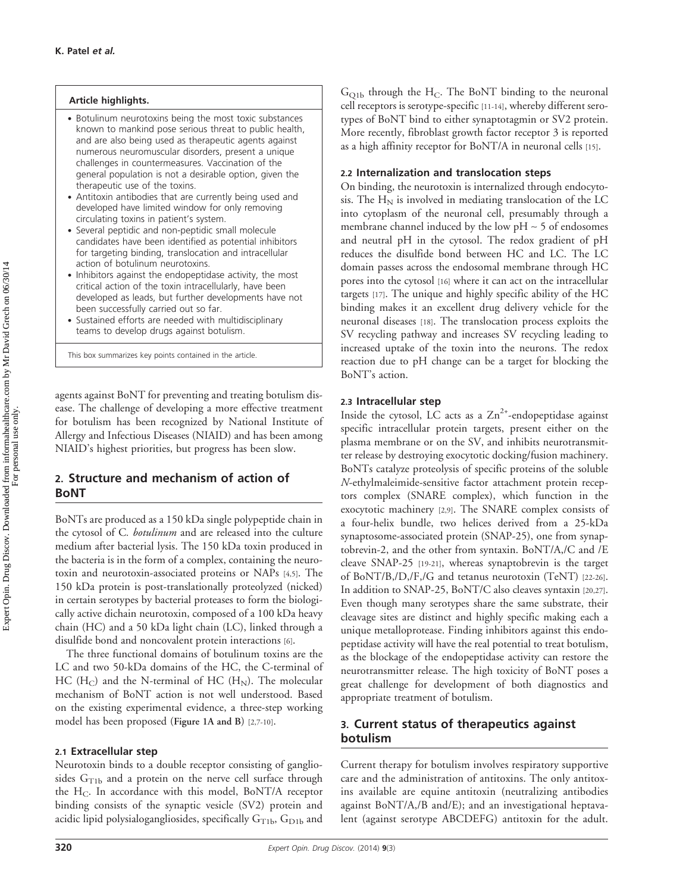## Article highlights.

- . Botulinum neurotoxins being the most toxic substances known to mankind pose serious threat to public health, and are also being used as therapeutic agents against numerous neuromuscular disorders, present a unique challenges in countermeasures. Vaccination of the general population is not a desirable option, given the therapeutic use of the toxins.
- . Antitoxin antibodies that are currently being used and developed have limited window for only removing circulating toxins in patient's system.
- . Several peptidic and non-peptidic small molecule candidates have been identified as potential inhibitors for targeting binding, translocation and intracellular action of botulinum neurotoxins.
- . Inhibitors against the endopeptidase activity, the most critical action of the toxin intracellularly, have been developed as leads, but further developments have not been successfully carried out so far.
- . Sustained efforts are needed with multidisciplinary teams to develop drugs against botulism.

This box summarizes key points contained in the article.

agents against BoNT for preventing and treating botulism disease. The challenge of developing a more effective treatment for botulism has been recognized by National Institute of Allergy and Infectious Diseases (NIAID) and has been among NIAID's highest priorities, but progress has been slow.

## 2. Structure and mechanism of action of BoNT

BoNTs are produced as a 150 kDa single polypeptide chain in the cytosol of C. botulinum and are released into the culture medium after bacterial lysis. The 150 kDa toxin produced in the bacteria is in the form of a complex, containing the neurotoxin and neurotoxin-associated proteins or NAPs [\[4,5\]](#page-10-0). The 150 kDa protein is post-translationally proteolyzed (nicked) in certain serotypes by bacterial proteases to form the biologically active dichain neurotoxin, composed of a 100 kDa heavy chain (HC) and a 50 kDa light chain (LC), linked through a disulfide bond and noncovalent protein interactions [[6](#page-10-0)].

The three functional domains of botulinum toxins are the LC and two 50-kDa domains of the HC, the C-terminal of HC (H<sub>C</sub>) and the N-terminal of HC (H<sub>N</sub>). The molecular mechanism of BoNT action is not well understood. Based on the existing experimental evidence, a three-step working model has been proposed ([Figure 1A and B](#page-2-0)) [[2,7-10\]](#page-10-0).

### 2.1 Extracellular step

Neurotoxin binds to a double receptor consisting of gangliosides  $G<sub>T1b</sub>$  and a protein on the nerve cell surface through the  $H_C$ . In accordance with this model, BoNT/A receptor binding consists of the synaptic vesicle (SV2) protein and acidic lipid polysialogangliosides, specifically  $G_{T1b}$ ,  $G_{D1b}$  and

 $G<sub>O1b</sub>$  through the H<sub>C</sub>. The BoNT binding to the neuronal cell receptors is serotype-specific [\[11-14](#page-10-0)], whereby different serotypes of BoNT bind to either synaptotagmin or SV2 protein. More recently, fibroblast growth factor receptor 3 is reported as a high affinity receptor for BoNT/A in neuronal cells [[15\]](#page-10-0).

## 2.2 Internalization and translocation steps

On binding, the neurotoxin is internalized through endocytosis. The  $H_N$  is involved in mediating translocation of the LC into cytoplasm of the neuronal cell, presumably through a membrane channel induced by the low  $pH \sim 5$  of endosomes and neutral pH in the cytosol. The redox gradient of pH reduces the disulfide bond between HC and LC. The LC domain passes across the endosomal membrane through HC pores into the cytosol [\[16](#page-10-0)] where it can act on the intracellular targets [\[17](#page-10-0)]. The unique and highly specific ability of the HC binding makes it an excellent drug delivery vehicle for the neuronal diseases [\[18](#page-11-0)]. The translocation process exploits the SV recycling pathway and increases SV recycling leading to increased uptake of the toxin into the neurons. The redox reaction due to pH change can be a target for blocking the BoNT's action.

## 2.3 Intracellular step

Inside the cytosol, LC acts as a  $Zn^{2+}$ -endopeptidase against specific intracellular protein targets, present either on the plasma membrane or on the SV, and inhibits neurotransmitter release by destroying exocytotic docking/fusion machinery. BoNTs catalyze proteolysis of specific proteins of the soluble N-ethylmaleimide-sensitive factor attachment protein receptors complex (SNARE complex), which function in the exocytotic machinery [\[2,9\]](#page-10-0). The SNARE complex consists of a four-helix bundle, two helices derived from a 25-kDa synaptosome-associated protein (SNAP-25), one from synaptobrevin-2, and the other from syntaxin. BoNT/A,/C and /E cleave SNAP-25 [\[19-21](#page-11-0)], whereas synaptobrevin is the target of BoNT/B,/D,/F,/G and tetanus neurotoxin (TeNT) [[22-26](#page-11-0)]. In addition to SNAP-25, BoNT/C also cleaves syntaxin [\[20,27](#page-11-0)]. Even though many serotypes share the same substrate, their cleavage sites are distinct and highly specific making each a unique metalloprotease. Finding inhibitors against this endopeptidase activity will have the real potential to treat botulism, as the blockage of the endopeptidase activity can restore the neurotransmitter release. The high toxicity of BoNT poses a great challenge for development of both diagnostics and appropriate treatment of botulism.

## 3. Current status of therapeutics against botulism

Current therapy for botulism involves respiratory supportive care and the administration of antitoxins. The only antitoxins available are equine antitoxin (neutralizing antibodies against BoNT/A,/B and/E); and an investigational heptavalent (against serotype ABCDEFG) antitoxin for the adult.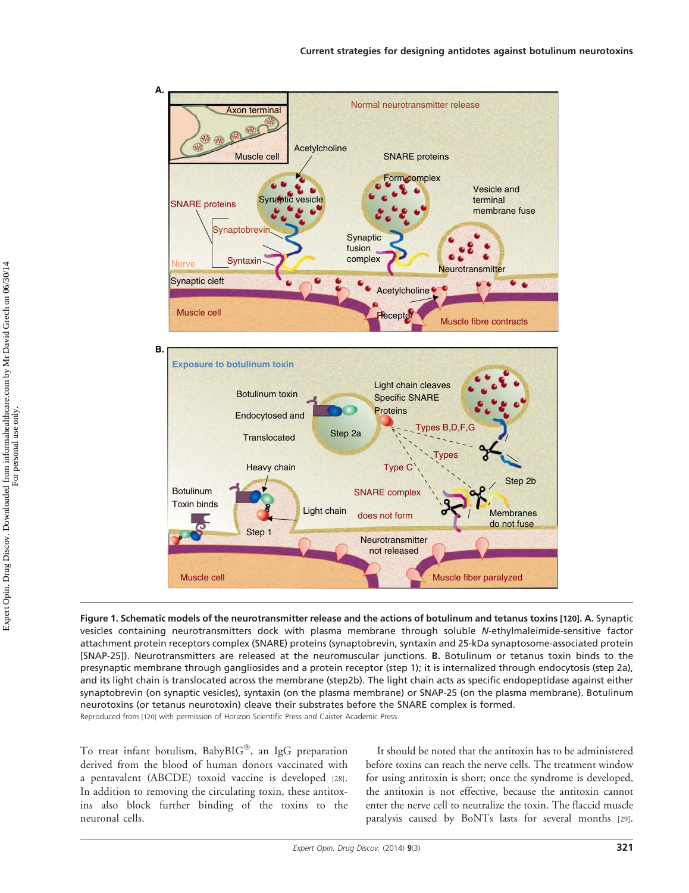<span id="page-2-0"></span>

Figure 1. Schematic models of the neurotransmitter release and the actions of botulinum and tetanus toxins [[120\]](#page-14-0). A. Synaptic vesicles containing neurotransmitters dock with plasma membrane through soluble N-ethylmaleimide-sensitive factor attachment protein receptors complex (SNARE) proteins (synaptobrevin, syntaxin and 25-kDa synaptosome-associated protein [SNAP-25]). Neurotransmitters are released at the neuromuscular junctions. B. Botulinum or tetanus toxin binds to the presynaptic membrane through gangliosides and a protein receptor (step 1); it is internalized through endocytosis (step 2a), and its light chain is translocated across the membrane (step2b). The light chain acts as specific endopeptidase against either synaptobrevin (on synaptic vesicles), syntaxin (on the plasma membrane) or SNAP-25 (on the plasma membrane). Botulinum neurotoxins (or tetanus neurotoxin) cleave their substrates before the SNARE complex is formed. Reproduced from [[120](#page-14-0)] with permission of Horizon Scientific Press and Caister Academic Press.

To treat infant botulism,  $\mathsf{BabyBIG}^\circledast,$  an IgG preparation derived from the blood of human donors vaccinated with a pentavalent (ABCDE) toxoid vaccine is developed [\[28](#page-11-0)]. In addition to removing the circulating toxin, these antitoxins also block further binding of the toxins to the neuronal cells.

It should be noted that the antitoxin has to be administered before toxins can reach the nerve cells. The treatment window for using antitoxin is short; once the syndrome is developed, the antitoxin is not effective, because the antitoxin cannot enter the nerve cell to neutralize the toxin. The flaccid muscle paralysis caused by BoNTs lasts for several months [[29](#page-11-0)].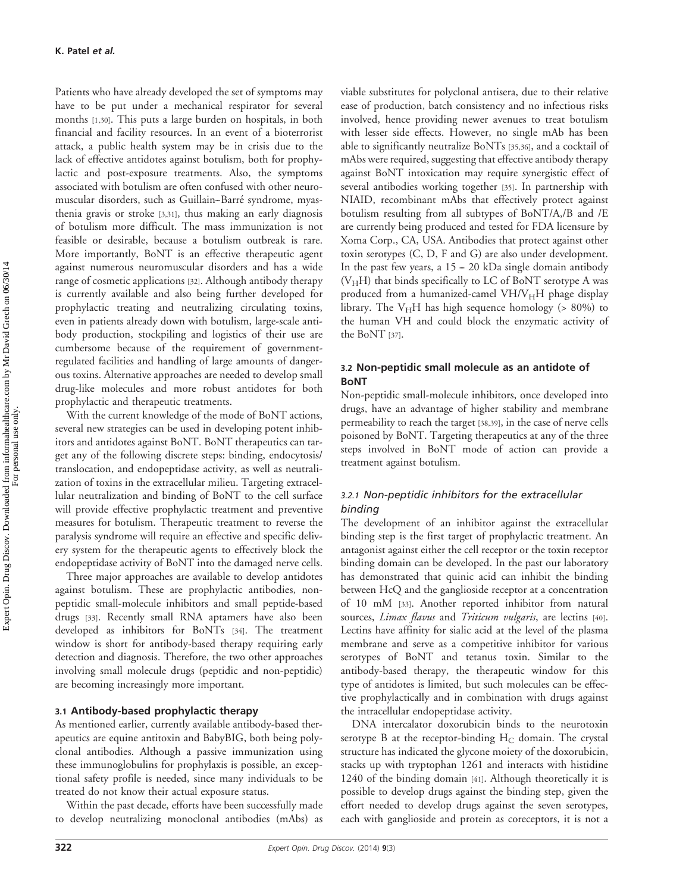Patients who have already developed the set of symptoms may have to be put under a mechanical respirator for several months [[1](#page-10-0)[,30](#page-11-0)]. This puts a large burden on hospitals, in both financial and facility resources. In an event of a bioterrorist attack, a public health system may be in crisis due to the lack of effective antidotes against botulism, both for prophylactic and post-exposure treatments. Also, the symptoms associated with botulism are often confused with other neuromuscular disorders, such as Guillain-Barré syndrome, myasthenia gravis or stroke [\[3,](#page-10-0)[31\]](#page-11-0), thus making an early diagnosis of botulism more difficult. The mass immunization is not feasible or desirable, because a botulism outbreak is rare. More importantly, BoNT is an effective therapeutic agent against numerous neuromuscular disorders and has a wide range of cosmetic applications [[32\]](#page-11-0). Although antibody therapy is currently available and also being further developed for prophylactic treating and neutralizing circulating toxins, even in patients already down with botulism, large-scale antibody production, stockpiling and logistics of their use are cumbersome because of the requirement of governmentregulated facilities and handling of large amounts of dangerous toxins. Alternative approaches are needed to develop small drug-like molecules and more robust antidotes for both prophylactic and therapeutic treatments.

With the current knowledge of the mode of BoNT actions, several new strategies can be used in developing potent inhibitors and antidotes against BoNT. BoNT therapeutics can target any of the following discrete steps: binding, endocytosis/ translocation, and endopeptidase activity, as well as neutralization of toxins in the extracellular milieu. Targeting extracellular neutralization and binding of BoNT to the cell surface will provide effective prophylactic treatment and preventive measures for botulism. Therapeutic treatment to reverse the paralysis syndrome will require an effective and specific delivery system for the therapeutic agents to effectively block the endopeptidase activity of BoNT into the damaged nerve cells.

Three major approaches are available to develop antidotes against botulism. These are prophylactic antibodies, nonpeptidic small-molecule inhibitors and small peptide-based drugs [[33\]](#page-11-0). Recently small RNA aptamers have also been developed as inhibitors for BoNTs [[34\]](#page-11-0). The treatment window is short for antibody-based therapy requiring early detection and diagnosis. Therefore, the two other approaches involving small molecule drugs (peptidic and non-peptidic) are becoming increasingly more important.

#### 3.1 Antibody-based prophylactic therapy

As mentioned earlier, currently available antibody-based therapeutics are equine antitoxin and BabyBIG, both being polyclonal antibodies. Although a passive immunization using these immunoglobulins for prophylaxis is possible, an exceptional safety profile is needed, since many individuals to be treated do not know their actual exposure status.

Within the past decade, efforts have been successfully made to develop neutralizing monoclonal antibodies (mAbs) as viable substitutes for polyclonal antisera, due to their relative ease of production, batch consistency and no infectious risks involved, hence providing newer avenues to treat botulism with lesser side effects. However, no single mAb has been able to significantly neutralize BoNTs [\[35](#page-11-0),[36\]](#page-11-0), and a cocktail of mAbs were required, suggesting that effective antibody therapy against BoNT intoxication may require synergistic effect of several antibodies working together [\[35](#page-11-0)]. In partnership with NIAID, recombinant mAbs that effectively protect against botulism resulting from all subtypes of BoNT/A,/B and /E are currently being produced and tested for FDA licensure by Xoma Corp., CA, USA. Antibodies that protect against other toxin serotypes (C, D, F and G) are also under development. In the past few years, a  $15 - 20$  kDa single domain antibody  $(V_HH)$  that binds specifically to LC of BoNT serotype A was produced from a humanized-camel  $VH/V_HH$  phage display library. The  $V_HH$  has high sequence homology (> 80%) to the human VH and could block the enzymatic activity of the BoNT [[37\]](#page-11-0).

## 3.2 Non-peptidic small molecule as an antidote of BoNT

Non-peptidic small-molecule inhibitors, once developed into drugs, have an advantage of higher stability and membrane permeability to reach the target [\[38](#page-11-0),[39\]](#page-11-0), in the case of nerve cells poisoned by BoNT. Targeting therapeutics at any of the three steps involved in BoNT mode of action can provide a treatment against botulism.

## 3.2.1 Non-peptidic inhibitors for the extracellular binding

The development of an inhibitor against the extracellular binding step is the first target of prophylactic treatment. An antagonist against either the cell receptor or the toxin receptor binding domain can be developed. In the past our laboratory has demonstrated that quinic acid can inhibit the binding between HcQ and the ganglioside receptor at a concentration of 10 mM [[33\]](#page-11-0). Another reported inhibitor from natural sources, Limax flavus and Triticum vulgaris, are lectins [\[40](#page-11-0)]. Lectins have affinity for sialic acid at the level of the plasma membrane and serve as a competitive inhibitor for various serotypes of BoNT and tetanus toxin. Similar to the antibody-based therapy, the therapeutic window for this type of antidotes is limited, but such molecules can be effective prophylactically and in combination with drugs against the intracellular endopeptidase activity.

DNA intercalator doxorubicin binds to the neurotoxin serotype B at the receptor-binding  $H_C$  domain. The crystal structure has indicated the glycone moiety of the doxorubicin, stacks up with tryptophan 1261 and interacts with histidine 1240 of the binding domain [\[41](#page-11-0)]. Although theoretically it is possible to develop drugs against the binding step, given the effort needed to develop drugs against the seven serotypes, each with ganglioside and protein as coreceptors, it is not a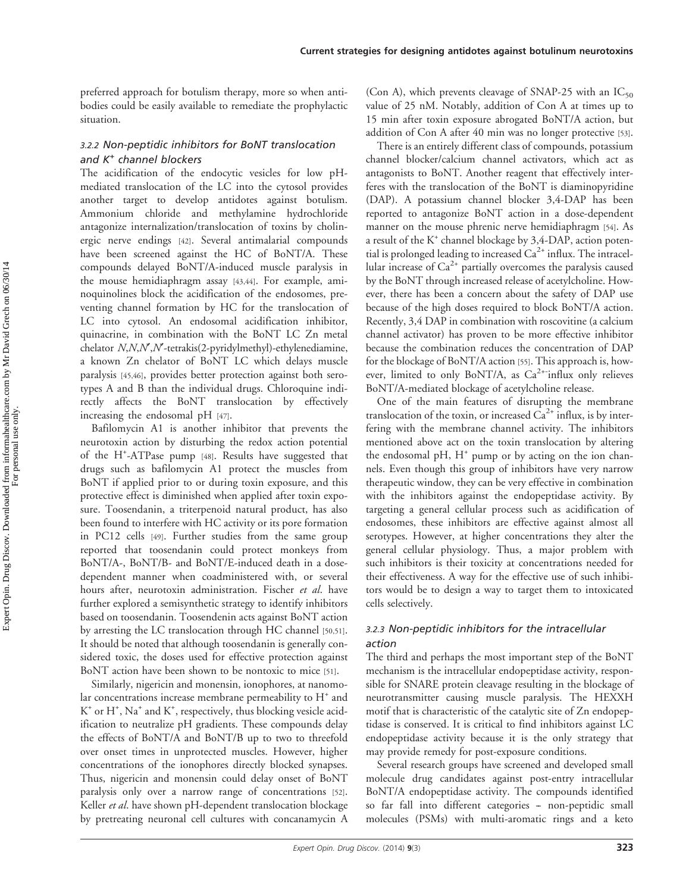preferred approach for botulism therapy, more so when antibodies could be easily available to remediate the prophylactic situation.

## 3.2.2 Non-peptidic inhibitors for BoNT translocation and K<sup>+</sup> channel blockers

The acidification of the endocytic vesicles for low pHmediated translocation of the LC into the cytosol provides another target to develop antidotes against botulism. Ammonium chloride and methylamine hydrochloride antagonize internalization/translocation of toxins by cholinergic nerve endings [[42\]](#page-11-0). Several antimalarial compounds have been screened against the HC of BoNT/A. These compounds delayed BoNT/A-induced muscle paralysis in the mouse hemidiaphragm assay [\[43,44](#page-11-0)]. For example, aminoquinolines block the acidification of the endosomes, preventing channel formation by HC for the translocation of LC into cytosol. An endosomal acidification inhibitor, quinacrine, in combination with the BoNT LC Zn metal chelator N,N,N',N'-tetrakis(2-pyridylmethyl)-ethylenediamine, a known Zn chelator of BoNT LC which delays muscle paralysis [[45,46](#page-11-0)], provides better protection against both serotypes A and B than the individual drugs. Chloroquine indirectly affects the BoNT translocation by effectively increasing the endosomal pH [[47\]](#page-11-0).

Bafilomycin A1 is another inhibitor that prevents the neurotoxin action by disturbing the redox action potential of the H<sup>+</sup>-ATPase pump [\[48](#page-11-0)]. Results have suggested that drugs such as bafilomycin A1 protect the muscles from BoNT if applied prior to or during toxin exposure, and this protective effect is diminished when applied after toxin exposure. Toosendanin, a triterpenoid natural product, has also been found to interfere with HC activity or its pore formation in PC12 cells [\[49](#page-11-0)]. Further studies from the same group reported that toosendanin could protect monkeys from BoNT/A-, BoNT/B- and BoNT/E-induced death in a dosedependent manner when coadministered with, or several hours after, neurotoxin administration. Fischer et al. have further explored a semisynthetic strategy to identify inhibitors based on toosendanin. Toosendenin acts against BoNT action by arresting the LC translocation through HC channel [[50,51\]](#page-12-0). It should be noted that although toosendanin is generally considered toxic, the doses used for effective protection against BoNT action have been shown to be nontoxic to mice [\[51](#page-12-0)].

Similarly, nigericin and monensin, ionophores, at nanomolar concentrations increase membrane permeability to  $H^*$  and K<sup>+</sup> or H<sup>+</sup>, Na<sup>+</sup> and K<sup>+</sup>, respectively, thus blocking vesicle acidification to neutralize pH gradients. These compounds delay the effects of BoNT/A and BoNT/B up to two to threefold over onset times in unprotected muscles. However, higher concentrations of the ionophores directly blocked synapses. Thus, nigericin and monensin could delay onset of BoNT paralysis only over a narrow range of concentrations [[52\]](#page-12-0). Keller et al. have shown pH-dependent translocation blockage by pretreating neuronal cell cultures with concanamycin A (Con A), which prevents cleavage of SNAP-25 with an  $IC_{50}$ value of 25 nM. Notably, addition of Con A at times up to 15 min after toxin exposure abrogated BoNT/A action, but addition of Con A after 40 min was no longer protective [[53\]](#page-12-0).

There is an entirely different class of compounds, potassium channel blocker/calcium channel activators, which act as antagonists to BoNT. Another reagent that effectively interferes with the translocation of the BoNT is diaminopyridine (DAP). A potassium channel blocker 3,4-DAP has been reported to antagonize BoNT action in a dose-dependent manner on the mouse phrenic nerve hemidiaphragm [[54\]](#page-12-0). As a result of the  $K^*$  channel blockage by 3,4-DAP, action potential is prolonged leading to increased  $Ca^{2+}$  influx. The intracellular increase of  $Ca^{2+}$  partially overcomes the paralysis caused by the BoNT through increased release of acetylcholine. However, there has been a concern about the safety of DAP use because of the high doses required to block BoNT/A action. Recently, 3,4 DAP in combination with roscovitine (a calcium channel activator) has proven to be more effective inhibitor because the combination reduces the concentration of DAP for the blockage of BoNT/A action [[55](#page-12-0)]. This approach is, however, limited to only BoNT/A, as  $Ca^{2+}$  influx only relieves BoNT/A-mediated blockage of acetylcholine release.

One of the main features of disrupting the membrane translocation of the toxin, or increased  $Ca^{2+}$  influx, is by interfering with the membrane channel activity. The inhibitors mentioned above act on the toxin translocation by altering the endosomal pH,  $H^*$  pump or by acting on the ion channels. Even though this group of inhibitors have very narrow therapeutic window, they can be very effective in combination with the inhibitors against the endopeptidase activity. By targeting a general cellular process such as acidification of endosomes, these inhibitors are effective against almost all serotypes. However, at higher concentrations they alter the general cellular physiology. Thus, a major problem with such inhibitors is their toxicity at concentrations needed for their effectiveness. A way for the effective use of such inhibitors would be to design a way to target them to intoxicated cells selectively.

## 3.2.3 Non-peptidic inhibitors for the intracellular action

The third and perhaps the most important step of the BoNT mechanism is the intracellular endopeptidase activity, responsible for SNARE protein cleavage resulting in the blockage of neurotransmitter causing muscle paralysis. The HEXXH motif that is characteristic of the catalytic site of Zn endopeptidase is conserved. It is critical to find inhibitors against LC endopeptidase activity because it is the only strategy that may provide remedy for post-exposure conditions.

Several research groups have screened and developed small molecule drug candidates against post-entry intracellular BoNT/A endopeptidase activity. The compounds identified so far fall into different categories - non-peptidic small molecules (PSMs) with multi-aromatic rings and a keto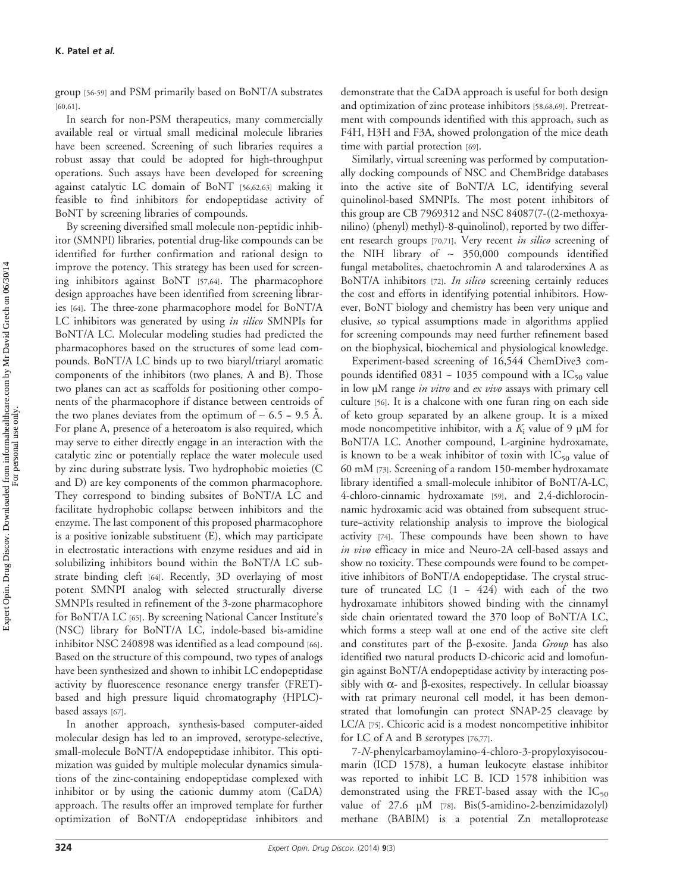group [[56-59](#page-12-0)] and PSM primarily based on BoNT/A substrates [\[60](#page-12-0),[61\]](#page-12-0).

In search for non-PSM therapeutics, many commercially available real or virtual small medicinal molecule libraries have been screened. Screening of such libraries requires a robust assay that could be adopted for high-throughput operations. Such assays have been developed for screening against catalytic LC domain of BoNT [\[56,62](#page-12-0),[63\]](#page-12-0) making it feasible to find inhibitors for endopeptidase activity of BoNT by screening libraries of compounds.

By screening diversified small molecule non-peptidic inhibitor (SMNPI) libraries, potential drug-like compounds can be identified for further confirmation and rational design to improve the potency. This strategy has been used for screening inhibitors against BoNT [[57,64](#page-12-0)]. The pharmacophore design approaches have been identified from screening libraries [[64\]](#page-12-0). The three-zone pharmacophore model for BoNT/A LC inhibitors was generated by using in silico SMNPIs for BoNT/A LC. Molecular modeling studies had predicted the pharmacophores based on the structures of some lead compounds. BoNT/A LC binds up to two biaryl/triaryl aromatic components of the inhibitors (two planes, A and B). Those two planes can act as scaffolds for positioning other components of the pharmacophore if distance between centroids of the two planes deviates from the optimum of  $\sim 6.5 - 9.5$  A. For plane A, presence of a heteroatom is also required, which may serve to either directly engage in an interaction with the catalytic zinc or potentially replace the water molecule used by zinc during substrate lysis. Two hydrophobic moieties (C and D) are key components of the common pharmacophore. They correspond to binding subsites of BoNT/A LC and facilitate hydrophobic collapse between inhibitors and the enzyme. The last component of this proposed pharmacophore is a positive ionizable substituent (E), which may participate in electrostatic interactions with enzyme residues and aid in solubilizing inhibitors bound within the BoNT/A LC substrate binding cleft [[64\]](#page-12-0). Recently, 3D overlaying of most potent SMNPI analog with selected structurally diverse SMNPIs resulted in refinement of the 3-zone pharmacophore for BoNT/A LC [[65\]](#page-12-0). By screening National Cancer Institute's (NSC) library for BoNT/A LC, indole-based bis-amidine inhibitor NSC 240898 was identified as a lead compound [\[66](#page-12-0)]. Based on the structure of this compound, two types of analogs have been synthesized and shown to inhibit LC endopeptidase activity by fluorescence resonance energy transfer (FRET) based and high pressure liquid chromatography (HPLC) based assays [[67\]](#page-12-0).

In another approach, synthesis-based computer-aided molecular design has led to an improved, serotype-selective, small-molecule BoNT/A endopeptidase inhibitor. This optimization was guided by multiple molecular dynamics simulations of the zinc-containing endopeptidase complexed with inhibitor or by using the cationic dummy atom (CaDA) approach. The results offer an improved template for further optimization of BoNT/A endopeptidase inhibitors and demonstrate that the CaDA approach is useful for both design and optimization of zinc protease inhibitors [[58,68,69](#page-12-0)]. Pretreatment with compounds identified with this approach, such as F4H, H3H and F3A, showed prolongation of the mice death time with partial protection [\[69](#page-12-0)].

Similarly, virtual screening was performed by computationally docking compounds of NSC and ChemBridge databases into the active site of BoNT/A LC, identifying several quinolinol-based SMNPIs. The most potent inhibitors of this group are CB 7969312 and NSC 84087(7-((2-methoxyanilino) (phenyl) methyl)-8-quinolinol), reported by two differ-ent research groups [[70,71](#page-12-0)]. Very recent in silico screening of the NIH library of  $\sim$  350,000 compounds identified fungal metabolites, chaetochromin A and talaroderxines A as BoNT/A inhibitors [\[72](#page-12-0)]. *In silico* screening certainly reduces the cost and efforts in identifying potential inhibitors. However, BoNT biology and chemistry has been very unique and elusive, so typical assumptions made in algorithms applied for screening compounds may need further refinement based on the biophysical, biochemical and physiological knowledge.

Experiment-based screening of 16,544 ChemDive3 compounds identified  $0831 - 1035$  compound with a IC<sub>50</sub> value in low µM range *in vitro* and *ex vivo* assays with primary cell culture [\[56](#page-12-0)]. It is a chalcone with one furan ring on each side of keto group separated by an alkene group. It is a mixed mode noncompetitive inhibitor, with a  $K_i$  value of 9 µM for BoNT/A LC. Another compound, L-arginine hydroxamate, is known to be a weak inhibitor of toxin with  $IC_{50}$  value of 60 mM [[73\]](#page-12-0). Screening of a random 150-member hydroxamate library identified a small-molecule inhibitor of BoNT/A-LC, 4-chloro-cinnamic hydroxamate [\[59](#page-12-0)], and 2,4-dichlorocinnamic hydroxamic acid was obtained from subsequent structure--activity relationship analysis to improve the biological activity [\[74](#page-12-0)]. These compounds have been shown to have in vivo efficacy in mice and Neuro-2A cell-based assays and show no toxicity. These compounds were found to be competitive inhibitors of BoNT/A endopeptidase. The crystal structure of truncated LC  $(1 - 424)$  with each of the two hydroxamate inhibitors showed binding with the cinnamyl side chain orientated toward the 370 loop of BoNT/A LC, which forms a steep wall at one end of the active site cleft and constitutes part of the  $\beta$ -exosite. Janda Group has also identified two natural products D-chicoric acid and lomofungin against BoNT/A endopeptidase activity by interacting possibly with  $\alpha$ - and  $\beta$ -exosites, respectively. In cellular bioassay with rat primary neuronal cell model, it has been demonstrated that lomofungin can protect SNAP-25 cleavage by LC/A [[75\]](#page-12-0). Chicoric acid is a modest noncompetitive inhibitor for LC of A and B serotypes [\[76](#page-12-0),[77\]](#page-12-0).

7-N-phenylcarbamoylamino-4-chloro-3-propyloxyisocoumarin (ICD 1578), a human leukocyte elastase inhibitor was reported to inhibit LC B. ICD 1578 inhibition was demonstrated using the FRET-based assay with the  $IC_{50}$ value of 27.6 µM [\[78](#page-12-0)]. Bis(5-amidino-2-benzimidazolyl) methane (BABIM) is a potential Zn metalloprotease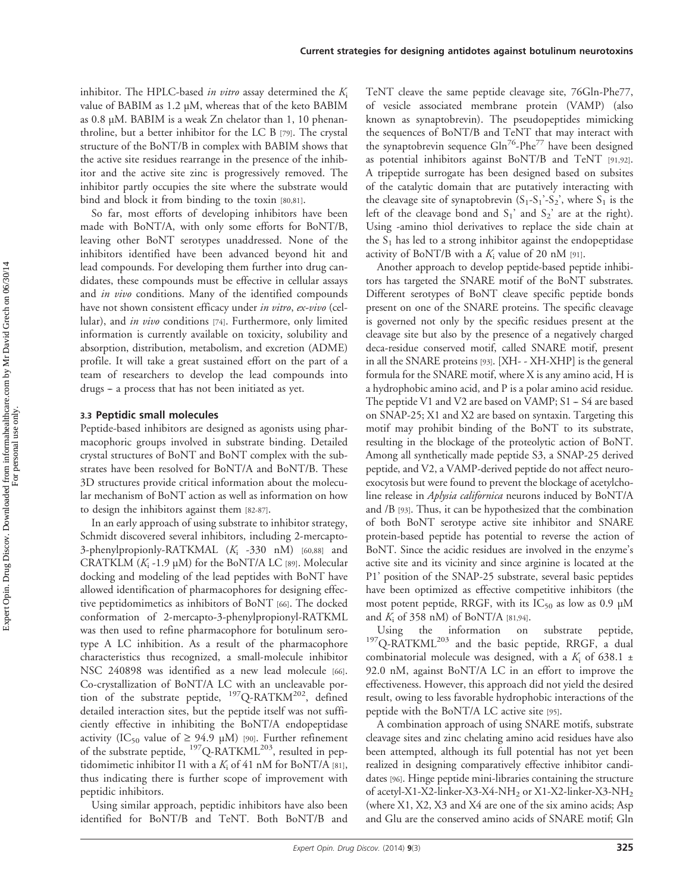inhibitor. The HPLC-based in vitro assay determined the  $K_i$ value of BABIM as 1.2 µM, whereas that of the keto BABIM as 0.8 µM. BABIM is a weak Zn chelator than 1, 10 phenanthroline, but a better inhibitor for the LC B [\[79](#page-12-0)]. The crystal structure of the BoNT/B in complex with BABIM shows that the active site residues rearrange in the presence of the inhibitor and the active site zinc is progressively removed. The inhibitor partly occupies the site where the substrate would bind and block it from binding to the toxin [[80,81](#page-13-0)].

So far, most efforts of developing inhibitors have been made with BoNT/A, with only some efforts for BoNT/B, leaving other BoNT serotypes unaddressed. None of the inhibitors identified have been advanced beyond hit and lead compounds. For developing them further into drug candidates, these compounds must be effective in cellular assays and *in vivo* conditions. Many of the identified compounds have not shown consistent efficacy under in vitro, ex-vivo (cel-lular), and in vivo conditions [\[74](#page-12-0)]. Furthermore, only limited information is currently available on toxicity, solubility and absorption, distribution, metabolism, and excretion (ADME) profile. It will take a great sustained effort on the part of a team of researchers to develop the lead compounds into drugs -- a process that has not been initiated as yet.

#### 3.3 Peptidic small molecules

Peptide-based inhibitors are designed as agonists using pharmacophoric groups involved in substrate binding. Detailed crystal structures of BoNT and BoNT complex with the substrates have been resolved for BoNT/A and BoNT/B. These 3D structures provide critical information about the molecular mechanism of BoNT action as well as information on how to design the inhibitors against them [\[82-87](#page-13-0)].

In an early approach of using substrate to inhibitor strategy, Schmidt discovered several inhibitors, including 2-mercapto-3-phenylpropionly-RATKMAL  $(K_i -330 \text{ nM})$  [\[60](#page-12-0),[88\]](#page-13-0) and CRATKLM  $(K_i -1.9 \mu M)$  for the BoNT/A LC [[89\]](#page-13-0). Molecular docking and modeling of the lead peptides with BoNT have allowed identification of pharmacophores for designing effective peptidomimetics as inhibitors of BoNT [\[66](#page-12-0)]. The docked conformation of 2-mercapto-3-phenylpropionyl-RATKML was then used to refine pharmacophore for botulinum serotype A LC inhibition. As a result of the pharmacophore characteristics thus recognized, a small-molecule inhibitor NSC 240898 was identified as a new lead molecule [[66\]](#page-12-0). Co-crystallization of BoNT/A LC with an uncleavable portion of the substrate peptide,  $^{197}Q-RATKM^{202}$ , defined detailed interaction sites, but the peptide itself was not sufficiently effective in inhibiting the BoNT/A endopeptidase activity (IC<sub>50</sub> value of  $\geq$  94.9 µM) [\[90](#page-13-0)]. Further refinement of the substrate peptide, <sup>197</sup>Q-RATKML<sup>203</sup>, resulted in peptidomimetic inhibitor I1 with a  $K_i$  of 41 nM for BoNT/A [[81\]](#page-13-0), thus indicating there is further scope of improvement with peptidic inhibitors.

Using similar approach, peptidic inhibitors have also been identified for BoNT/B and TeNT. Both BoNT/B and TeNT cleave the same peptide cleavage site, 76Gln-Phe77, of vesicle associated membrane protein (VAMP) (also known as synaptobrevin). The pseudopeptides mimicking the sequences of BoNT/B and TeNT that may interact with the synaptobrevin sequence  $G\ln^{76}$ -Phe<sup>77</sup> have been designed as potential inhibitors against BoNT/B and TeNT [[91,92](#page-13-0)]. A tripeptide surrogate has been designed based on subsites of the catalytic domain that are putatively interacting with the cleavage site of synaptobrevin  $(S_1-S_1)$ <sup>2</sup>-S<sub>2</sub>', where  $S_1$  is the left of the cleavage bond and  $S_1$ ' and  $S_2$ ' are at the right). Using -amino thiol derivatives to replace the side chain at the  $S_1$  has led to a strong inhibitor against the endopeptidase activity of BoNT/B with a  $K_i$  value of 20 nM [\[91](#page-13-0)].

Another approach to develop peptide-based peptide inhibitors has targeted the SNARE motif of the BoNT substrates. Different serotypes of BoNT cleave specific peptide bonds present on one of the SNARE proteins. The specific cleavage is governed not only by the specific residues present at the cleavage site but also by the presence of a negatively charged deca-residue conserved motif, called SNARE motif, present in all the SNARE proteins [\[93\]](#page-13-0). [XH- - XH-XHP] is the general formula for the SNARE motif, where X is any amino acid, H is a hydrophobic amino acid, and P is a polar amino acid residue. The peptide V1 and V2 are based on VAMP; S1 – S4 are based on SNAP-25; X1 and X2 are based on syntaxin. Targeting this motif may prohibit binding of the BoNT to its substrate, resulting in the blockage of the proteolytic action of BoNT. Among all synthetically made peptide S3, a SNAP-25 derived peptide, and V2, a VAMP-derived peptide do not affect neuroexocytosis but were found to prevent the blockage of acetylcholine release in *Aplysia californica* neurons induced by BoNT/A and /B [\[93](#page-13-0)]. Thus, it can be hypothesized that the combination of both BoNT serotype active site inhibitor and SNARE protein-based peptide has potential to reverse the action of BoNT. Since the acidic residues are involved in the enzyme's active site and its vicinity and since arginine is located at the P1' position of the SNAP-25 substrate, several basic peptides have been optimized as effective competitive inhibitors (the most potent peptide, RRGF, with its  $IC_{50}$  as low as 0.9  $\mu$ M and  $K_i$  of 358 nM) of BoNT/A [\[81](#page-13-0),[94\]](#page-13-0).

Using the information on substrate peptide, <sup>197</sup>Q-RATKML<sup>203</sup> and the basic peptide, RRGF, a dual combinatorial molecule was designed, with a  $K_i$  of 638.1  $\pm$ 92.0 nM, against BoNT/A LC in an effort to improve the effectiveness. However, this approach did not yield the desired result, owing to less favorable hydrophobic interactions of the peptide with the BoNT/A LC active site [\[95](#page-13-0)].

A combination approach of using SNARE motifs, substrate cleavage sites and zinc chelating amino acid residues have also been attempted, although its full potential has not yet been realized in designing comparatively effective inhibitor candidates [[96\]](#page-13-0). Hinge peptide mini-libraries containing the structure of acetyl-X1-X2-linker-X3-X4-NH<sub>2</sub> or X1-X2-linker-X3-NH<sub>2</sub> (where X1, X2, X3 and X4 are one of the six amino acids; Asp and Glu are the conserved amino acids of SNARE motif; Gln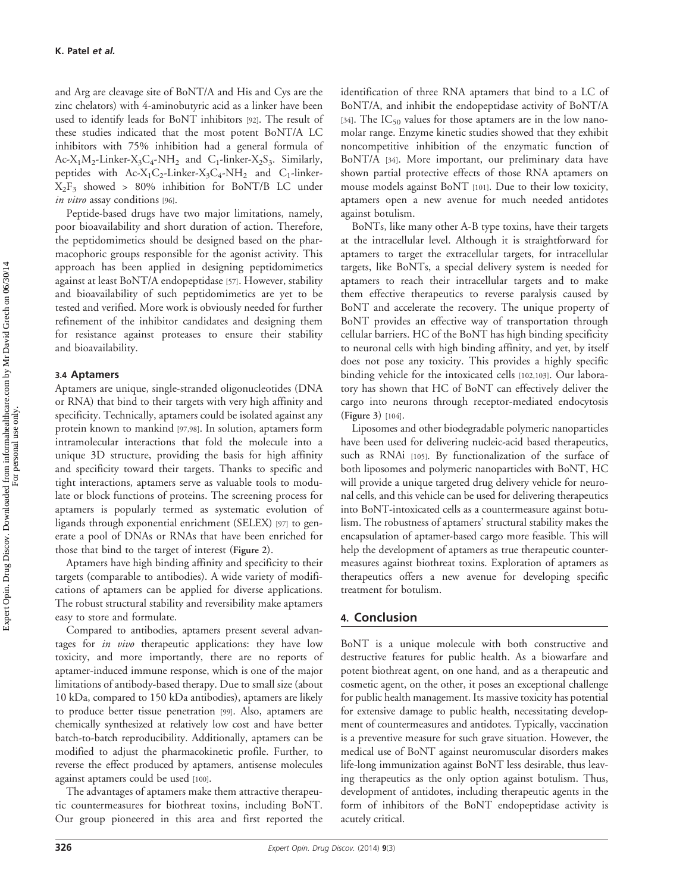and Arg are cleavage site of BoNT/A and His and Cys are the zinc chelators) with 4-aminobutyric acid as a linker have been used to identify leads for BoNT inhibitors [\[92\]](#page-13-0). The result of these studies indicated that the most potent BoNT/A LC inhibitors with 75% inhibition had a general formula of  $Ac-X_1M_2$ -Linker-X<sub>3</sub>C<sub>4</sub>-NH<sub>2</sub> and C<sub>1</sub>-linker-X<sub>2</sub>S<sub>3</sub>. Similarly, peptides with  $Ac-X_1C_2$ -Linker-X<sub>3</sub>C<sub>4</sub>-NH<sub>2</sub> and C<sub>1</sub>-linker- $X_2F_3$  showed > 80% inhibition for BoNT/B LC under in vitro assay conditions [\[96](#page-13-0)].

Peptide-based drugs have two major limitations, namely, poor bioavailability and short duration of action. Therefore, the peptidomimetics should be designed based on the pharmacophoric groups responsible for the agonist activity. This approach has been applied in designing peptidomimetics against at least BoNT/A endopeptidase [[57\]](#page-12-0). However, stability and bioavailability of such peptidomimetics are yet to be tested and verified. More work is obviously needed for further refinement of the inhibitor candidates and designing them for resistance against proteases to ensure their stability and bioavailability.

#### 3.4 Aptamers

Aptamers are unique, single-stranded oligonucleotides (DNA or RNA) that bind to their targets with very high affinity and specificity. Technically, aptamers could be isolated against any protein known to mankind [[97,98](#page-13-0)]. In solution, aptamers form intramolecular interactions that fold the molecule into a unique 3D structure, providing the basis for high affinity and specificity toward their targets. Thanks to specific and tight interactions, aptamers serve as valuable tools to modulate or block functions of proteins. The screening process for aptamers is popularly termed as systematic evolution of ligands through exponential enrichment (SELEX) [\[97](#page-13-0)] to generate a pool of DNAs or RNAs that have been enriched for those that bind to the target of interest ([Figure 2](#page-8-0)).

Aptamers have high binding affinity and specificity to their targets (comparable to antibodies). A wide variety of modifications of aptamers can be applied for diverse applications. The robust structural stability and reversibility make aptamers easy to store and formulate.

Compared to antibodies, aptamers present several advantages for *in vivo* therapeutic applications: they have low toxicity, and more importantly, there are no reports of aptamer-induced immune response, which is one of the major limitations of antibody-based therapy. Due to small size (about 10 kDa, compared to 150 kDa antibodies), aptamers are likely to produce better tissue penetration [\[99\]](#page-13-0). Also, aptamers are chemically synthesized at relatively low cost and have better batch-to-batch reproducibility. Additionally, aptamers can be modified to adjust the pharmacokinetic profile. Further, to reverse the effect produced by aptamers, antisense molecules against aptamers could be used [\[100\]](#page-13-0).

The advantages of aptamers make them attractive therapeutic countermeasures for biothreat toxins, including BoNT. Our group pioneered in this area and first reported the identification of three RNA aptamers that bind to a LC of BoNT/A, and inhibit the endopeptidase activity of BoNT/A [\[34](#page-11-0)]. The  $IC_{50}$  values for those aptamers are in the low nanomolar range. Enzyme kinetic studies showed that they exhibit noncompetitive inhibition of the enzymatic function of BoNT/A [[34\]](#page-11-0). More important, our preliminary data have shown partial protective effects of those RNA aptamers on mouse models against BoNT [\[101\]](#page-13-0). Due to their low toxicity, aptamers open a new avenue for much needed antidotes against botulism.

BoNTs, like many other A-B type toxins, have their targets at the intracellular level. Although it is straightforward for aptamers to target the extracellular targets, for intracellular targets, like BoNTs, a special delivery system is needed for aptamers to reach their intracellular targets and to make them effective therapeutics to reverse paralysis caused by BoNT and accelerate the recovery. The unique property of BoNT provides an effective way of transportation through cellular barriers. HC of the BoNT has high binding specificity to neuronal cells with high binding affinity, and yet, by itself does not pose any toxicity. This provides a highly specific binding vehicle for the intoxicated cells [[102,103](#page-13-0)]. Our laboratory has shown that HC of BoNT can effectively deliver the cargo into neurons through receptor-mediated endocytosis ([Figure 3](#page-9-0)) [[104](#page-13-0)].

Liposomes and other biodegradable polymeric nanoparticles have been used for delivering nucleic-acid based therapeutics, such as RNAi [[105\]](#page-13-0). By functionalization of the surface of both liposomes and polymeric nanoparticles with BoNT, HC will provide a unique targeted drug delivery vehicle for neuronal cells, and this vehicle can be used for delivering therapeutics into BoNT-intoxicated cells as a countermeasure against botulism. The robustness of aptamers' structural stability makes the encapsulation of aptamer-based cargo more feasible. This will help the development of aptamers as true therapeutic countermeasures against biothreat toxins. Exploration of aptamers as therapeutics offers a new avenue for developing specific treatment for botulism.

### 4. Conclusion

BoNT is a unique molecule with both constructive and destructive features for public health. As a biowarfare and potent biothreat agent, on one hand, and as a therapeutic and cosmetic agent, on the other, it poses an exceptional challenge for public health management. Its massive toxicity has potential for extensive damage to public health, necessitating development of countermeasures and antidotes. Typically, vaccination is a preventive measure for such grave situation. However, the medical use of BoNT against neuromuscular disorders makes life-long immunization against BoNT less desirable, thus leaving therapeutics as the only option against botulism. Thus, development of antidotes, including therapeutic agents in the form of inhibitors of the BoNT endopeptidase activity is acutely critical.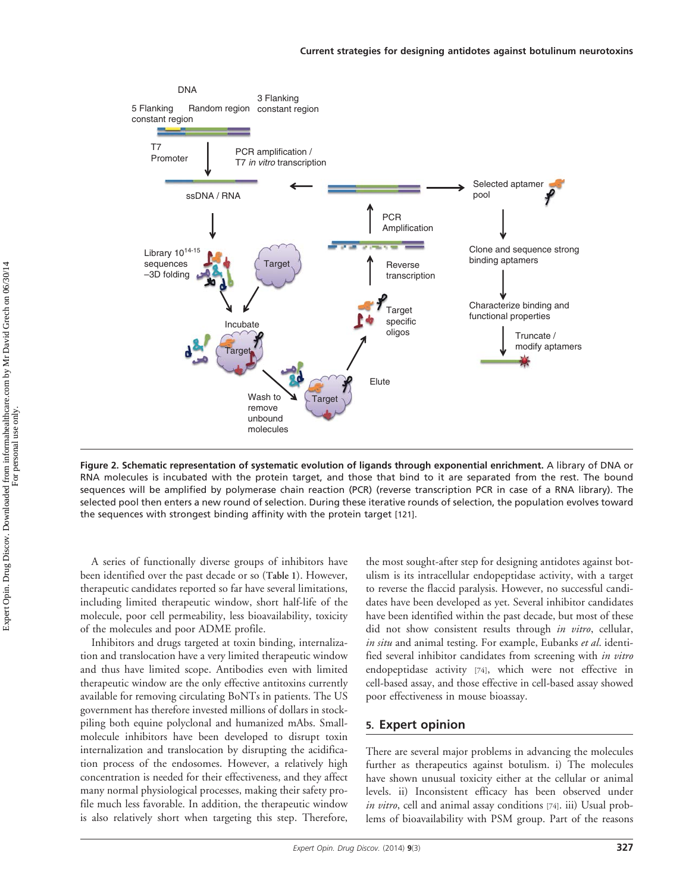<span id="page-8-0"></span>

Figure 2. Schematic representation of systematic evolution of ligands through exponential enrichment. A library of DNA or RNA molecules is incubated with the protein target, and those that bind to it are separated from the rest. The bound sequences will be amplified by polymerase chain reaction (PCR) (reverse transcription PCR in case of a RNA library). The selected pool then enters a new round of selection. During these iterative rounds of selection, the population evolves toward the sequences with strongest binding affinity with the protein target [[121](#page-14-0)].

A series of functionally diverse groups of inhibitors have been identified over the past decade or so ([Table 1](#page-9-0)). However, therapeutic candidates reported so far have several limitations, including limited therapeutic window, short half-life of the molecule, poor cell permeability, less bioavailability, toxicity of the molecules and poor ADME profile.

Inhibitors and drugs targeted at toxin binding, internalization and translocation have a very limited therapeutic window and thus have limited scope. Antibodies even with limited therapeutic window are the only effective antitoxins currently available for removing circulating BoNTs in patients. The US government has therefore invested millions of dollars in stockpiling both equine polyclonal and humanized mAbs. Smallmolecule inhibitors have been developed to disrupt toxin internalization and translocation by disrupting the acidification process of the endosomes. However, a relatively high concentration is needed for their effectiveness, and they affect many normal physiological processes, making their safety profile much less favorable. In addition, the therapeutic window is also relatively short when targeting this step. Therefore, the most sought-after step for designing antidotes against botulism is its intracellular endopeptidase activity, with a target to reverse the flaccid paralysis. However, no successful candidates have been developed as yet. Several inhibitor candidates have been identified within the past decade, but most of these did not show consistent results through in vitro, cellular, in situ and animal testing. For example, Eubanks et al. identified several inhibitor candidates from screening with in vitro endopeptidase activity [\[74](#page-12-0)], which were not effective in cell-based assay, and those effective in cell-based assay showed poor effectiveness in mouse bioassay.

## 5. Expert opinion

There are several major problems in advancing the molecules further as therapeutics against botulism. i) The molecules have shown unusual toxicity either at the cellular or animal levels. ii) Inconsistent efficacy has been observed under in vitro, cell and animal assay conditions [\[74](#page-12-0)]. iii) Usual problems of bioavailability with PSM group. Part of the reasons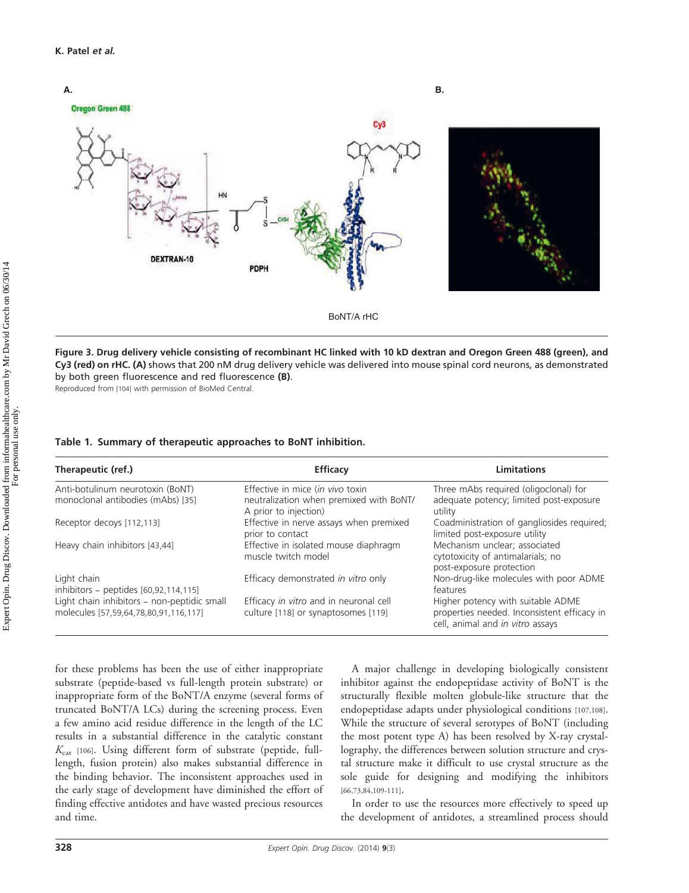<span id="page-9-0"></span>

Figure 3. Drug delivery vehicle consisting of recombinant HC linked with 10 kD dextran and Oregon Green 488 (green), and Cy3 (red) on rHC. (A) shows that 200 nM drug delivery vehicle was delivered into mouse spinal cord neurons, as demonstrated by both green fluorescence and red fluorescence (B).

Reproduced from [\[104](#page-13-0)] with permission of BioMed Central.

#### Table 1. Summary of therapeutic approaches to BoNT inhibition.

| Therapeutic (ref.)                                                                   | <b>Efficacy</b>                                                                                      | <b>Limitations</b>                                                                                                   |
|--------------------------------------------------------------------------------------|------------------------------------------------------------------------------------------------------|----------------------------------------------------------------------------------------------------------------------|
| Anti-botulinum neurotoxin (BoNT)<br>monoclonal antibodies (mAbs) [35]                | Effective in mice (in vivo toxin<br>neutralization when premixed with BoNT/<br>A prior to injection) | Three mAbs required (oligoclonal) for<br>adequate potency; limited post-exposure<br>utility                          |
| Receptor decoys [112,113]                                                            | Effective in nerve assays when premixed<br>prior to contact                                          | Coadministration of gangliosides required;<br>limited post-exposure utility                                          |
| Heavy chain inhibitors [43,44]                                                       | Effective in isolated mouse diaphragm<br>muscle twitch model                                         | Mechanism unclear; associated<br>cytotoxicity of antimalarials; no<br>post-exposure protection                       |
| Light chain<br>inhibitors - peptides [60,92,114,115]                                 | Efficacy demonstrated in vitro only                                                                  | Non-drug-like molecules with poor ADME<br>features                                                                   |
| Light chain inhibitors - non-peptidic small<br>molecules [57,59,64,78,80,91,116,117] | Efficacy in vitro and in neuronal cell<br>culture [118] or synaptosomes [119]                        | Higher potency with suitable ADME<br>properties needed. Inconsistent efficacy in<br>cell, animal and in vitro assays |

for these problems has been the use of either inappropriate substrate (peptide-based vs full-length protein substrate) or inappropriate form of the BoNT/A enzyme (several forms of truncated BoNT/A LCs) during the screening process. Even a few amino acid residue difference in the length of the LC results in a substantial difference in the catalytic constant  $K_{\text{cat}}$  [[106](#page-13-0)]. Using different form of substrate (peptide, fulllength, fusion protein) also makes substantial difference in the binding behavior. The inconsistent approaches used in the early stage of development have diminished the effort of finding effective antidotes and have wasted precious resources and time.

A major challenge in developing biologically consistent inhibitor against the endopeptidase activity of BoNT is the structurally flexible molten globule-like structure that the endopeptidase adapts under physiological conditions [\[107,108](#page-13-0)]. While the structure of several serotypes of BoNT (including the most potent type A) has been resolved by X-ray crystallography, the differences between solution structure and crystal structure make it difficult to use crystal structure as the sole guide for designing and modifying the inhibitors  $[66,73,84,109-111]$  $[66,73,84,109-111]$  $[66,73,84,109-111]$  $[66,73,84,109-111]$  $[66,73,84,109-111]$ .

In order to use the resources more effectively to speed up the development of antidotes, a streamlined process should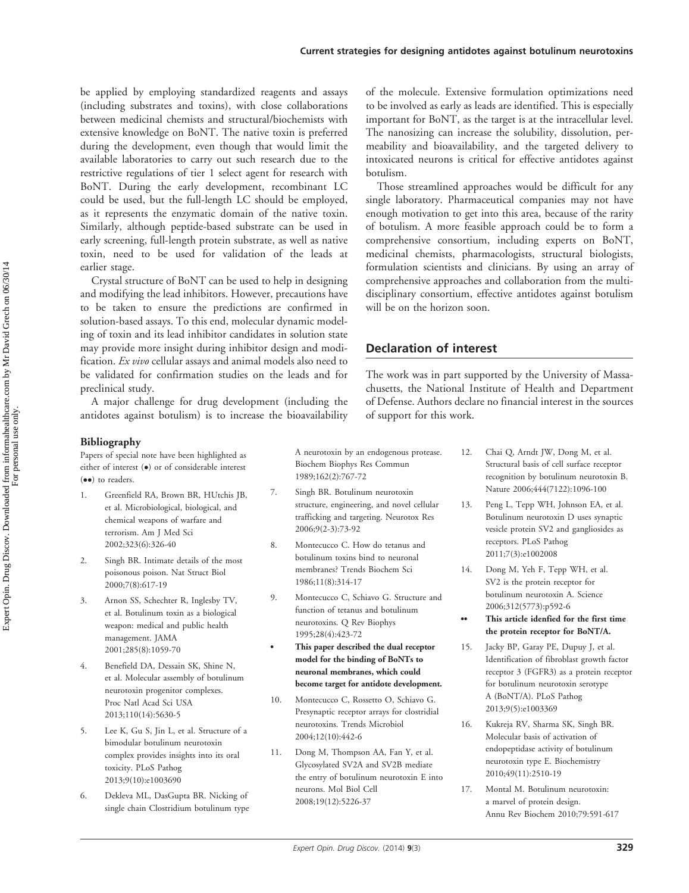<span id="page-10-0"></span>be applied by employing standardized reagents and assays (including substrates and toxins), with close collaborations between medicinal chemists and structural/biochemists with extensive knowledge on BoNT. The native toxin is preferred during the development, even though that would limit the available laboratories to carry out such research due to the restrictive regulations of tier 1 select agent for research with BoNT. During the early development, recombinant LC could be used, but the full-length LC should be employed, as it represents the enzymatic domain of the native toxin. Similarly, although peptide-based substrate can be used in early screening, full-length protein substrate, as well as native toxin, need to be used for validation of the leads at earlier stage.

Crystal structure of BoNT can be used to help in designing and modifying the lead inhibitors. However, precautions have to be taken to ensure the predictions are confirmed in solution-based assays. To this end, molecular dynamic modeling of toxin and its lead inhibitor candidates in solution state may provide more insight during inhibitor design and modification. Ex vivo cellular assays and animal models also need to be validated for confirmation studies on the leads and for preclinical study.

A major challenge for drug development (including the antidotes against botulism) is to increase the bioavailability of the molecule. Extensive formulation optimizations need to be involved as early as leads are identified. This is especially important for BoNT, as the target is at the intracellular level. The nanosizing can increase the solubility, dissolution, permeability and bioavailability, and the targeted delivery to intoxicated neurons is critical for effective antidotes against botulism.

Those streamlined approaches would be difficult for any single laboratory. Pharmaceutical companies may not have enough motivation to get into this area, because of the rarity of botulism. A more feasible approach could be to form a comprehensive consortium, including experts on BoNT, medicinal chemists, pharmacologists, structural biologists, formulation scientists and clinicians. By using an array of comprehensive approaches and collaboration from the multidisciplinary consortium, effective antidotes against botulism will be on the horizon soon.

## Declaration of interest

The work was in part supported by the University of Massachusetts, the National Institute of Health and Department of Defense. Authors declare no financial interest in the sources of support for this work.

## Bibliography

Papers of special note have been highlighted as either of interest ( $\bullet$ ) or of considerable interest  $(a)$  to readers.

- 1. Greenfield RA, Brown BR, HUtchis JB, et al. [Microbiological, biological, and](www.ncbi.nlm.nih.gov/pubmed/12074487?dopt=Abstract) [chemical weapons of warfare and](www.ncbi.nlm.nih.gov/pubmed/12074487?dopt=Abstract) [terrorism.](www.ncbi.nlm.nih.gov/pubmed/12074487?dopt=Abstract) Am J Med Sci 2002;323(6):326-40
- 2. Singh BR. [Intimate details of the most](www.ncbi.nlm.nih.gov/pubmed/10932240?dopt=Abstract) [poisonous poison.](www.ncbi.nlm.nih.gov/pubmed/10932240?dopt=Abstract) Nat Struct Biol 2000;7(8):617-19
- 3. Arnon SS, Schechter R, Inglesby TV, et al. [Botulinum toxin as a biological](www.ncbi.nlm.nih.gov/pubmed/11209178?dopt=Abstract) [weapon: medical and public health](www.ncbi.nlm.nih.gov/pubmed/11209178?dopt=Abstract) [management.](www.ncbi.nlm.nih.gov/pubmed/11209178?dopt=Abstract) JAMA 2001;285(8):1059-70
- 4. Benefield DA, Dessain SK, Shine N, et al. [Molecular assembly of botulinum](www.ncbi.nlm.nih.gov/pubmed/23509303?dopt=Abstract) [neurotoxin progenitor complexes](www.ncbi.nlm.nih.gov/pubmed/23509303?dopt=Abstract). Proc Natl Acad Sci USA 2013;110(14):5630-5
- 5. Lee K, Gu S, Jin L, et al. [Structure of a](www.ncbi.nlm.nih.gov/pubmed/24130488?dopt=Abstract) [bimodular botulinum neurotoxin](www.ncbi.nlm.nih.gov/pubmed/24130488?dopt=Abstract) [complex provides insights into its oral](www.ncbi.nlm.nih.gov/pubmed/24130488?dopt=Abstract) [toxicity](www.ncbi.nlm.nih.gov/pubmed/24130488?dopt=Abstract). PLoS Pathog 2013;9(10):e1003690
- 6. Dekleva ML, DasGupta BR. [Nicking of](www.ncbi.nlm.nih.gov/pubmed/2667520?dopt=Abstract) [single chain Clostridium botulinum type](www.ncbi.nlm.nih.gov/pubmed/2667520?dopt=Abstract)

[A neurotoxin by an endogenous protease](www.ncbi.nlm.nih.gov/pubmed/2667520?dopt=Abstract). Biochem Biophys Res Commun 1989;162(2):767-72

- 7. Singh BR. [Botulinum neurotoxin](www.ncbi.nlm.nih.gov/pubmed/16785103?dopt=Abstract) [structure, engineering, and novel cellular](www.ncbi.nlm.nih.gov/pubmed/16785103?dopt=Abstract) [trafficking and targeting](www.ncbi.nlm.nih.gov/pubmed/16785103?dopt=Abstract). Neurotox Res 2006;9(2-3):73-92
- 8. Montecucco C. How do tetanus and botulinum toxins bind to neuronal membranes? Trends Biochem Sci 1986;11(8):314-17
- 9. Montecucco C, Schiavo G. [Structure and](www.ncbi.nlm.nih.gov/pubmed/8771234?dopt=Abstract) [function of tetanus and botulinum](www.ncbi.nlm.nih.gov/pubmed/8771234?dopt=Abstract) [neurotoxins.](www.ncbi.nlm.nih.gov/pubmed/8771234?dopt=Abstract) Q Rev Biophys 1995;28(4):423-72
- . This paper described the dual receptor model for the binding of BoNTs to neuronal membranes, which could become target for antidote development.
- 10. Montecucco C, Rossetto O, Schiavo G. [Presynaptic receptor arrays for clostridial](www.ncbi.nlm.nih.gov/pubmed/15381192?dopt=Abstract) [neurotoxins.](www.ncbi.nlm.nih.gov/pubmed/15381192?dopt=Abstract) Trends Microbiol 2004;12(10):442-6
- 11. Dong M, Thompson AA, Fan Y, et al. [Glycosylated SV2A and SV2B mediate](www.ncbi.nlm.nih.gov/pubmed/18815274?dopt=Abstract) [the entry of botulinum neurotoxin E into](www.ncbi.nlm.nih.gov/pubmed/18815274?dopt=Abstract) [neurons](www.ncbi.nlm.nih.gov/pubmed/18815274?dopt=Abstract). Mol Biol Cell 2008;19(12):5226-37
- 12. Chai Q, Arndt JW, Dong M, et al. [Structural basis of cell surface receptor](www.ncbi.nlm.nih.gov/pubmed/17167418?dopt=Abstract) [recognition by botulinum neurotoxin B](www.ncbi.nlm.nih.gov/pubmed/17167418?dopt=Abstract). Nature 2006;444(7122):1096-100
- 13. Peng L, Tepp WH, Johnson EA, et al. [Botulinum neurotoxin D uses synaptic](www.ncbi.nlm.nih.gov/pubmed/21483489?dopt=Abstract) [vesicle protein SV2 and gangliosides as](www.ncbi.nlm.nih.gov/pubmed/21483489?dopt=Abstract) [receptors](www.ncbi.nlm.nih.gov/pubmed/21483489?dopt=Abstract). PLoS Pathog 2011;7(3):e1002008
- 14. Dong M, Yeh F, Tepp WH, et al. [SV2 is the protein receptor for](www.ncbi.nlm.nih.gov/pubmed/16543415?dopt=Abstract) [botulinum neurotoxin A.](www.ncbi.nlm.nih.gov/pubmed/16543415?dopt=Abstract) Science 2006;312(5773):p592-6
- This article idenfied for the first time the protein receptor for BoNT/A.
- 15. Jacky BP, Garay PE, Dupuy J, et al. [Identification of fibroblast growth factor](www.ncbi.nlm.nih.gov/pubmed/23696738?dopt=Abstract) [receptor 3 \(FGFR3\) as a protein receptor](www.ncbi.nlm.nih.gov/pubmed/23696738?dopt=Abstract) [for botulinum neurotoxin serotype](www.ncbi.nlm.nih.gov/pubmed/23696738?dopt=Abstract) [A \(BoNT/A\)](www.ncbi.nlm.nih.gov/pubmed/23696738?dopt=Abstract). PLoS Pathog 2013;9(5):e1003369
- 16. Kukreja RV, Sharma SK, Singh BR. [Molecular basis of activation of](www.ncbi.nlm.nih.gov/pubmed/20178376?dopt=Abstract) [endopeptidase activity of botulinum](www.ncbi.nlm.nih.gov/pubmed/20178376?dopt=Abstract) [neurotoxin type E.](www.ncbi.nlm.nih.gov/pubmed/20178376?dopt=Abstract) Biochemistry 2010;49(11):2510-19
- 17. Montal M. [Botulinum neurotoxin:](www.ncbi.nlm.nih.gov/pubmed/20233039?dopt=Abstract) [a marvel of protein design](www.ncbi.nlm.nih.gov/pubmed/20233039?dopt=Abstract). Annu Rev Biochem 2010;79:591-617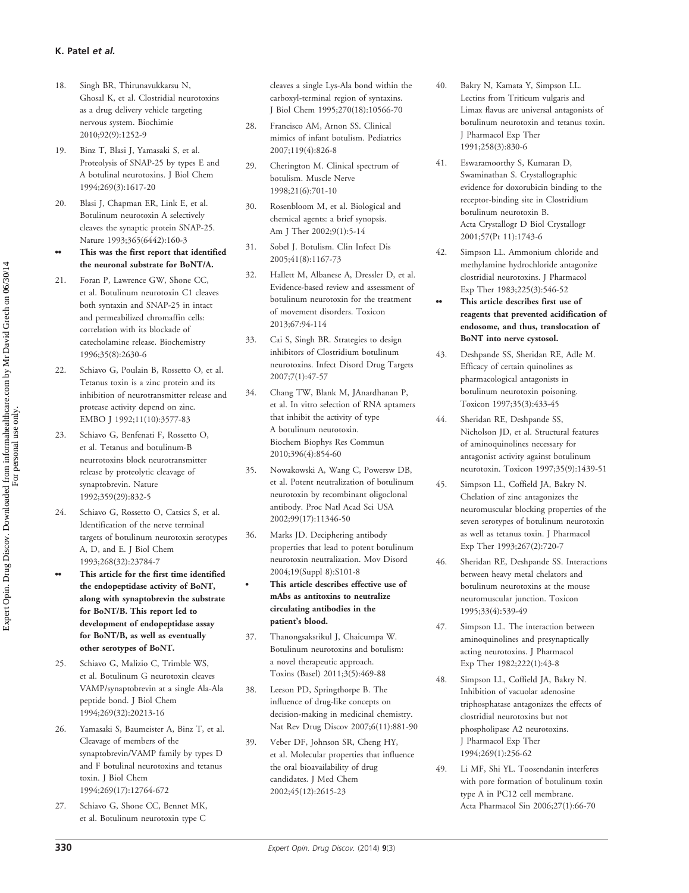- <span id="page-11-0"></span>18. Singh BR, Thirunavukkarsu N, Ghosal K, et al. [Clostridial neurotoxins](www.ncbi.nlm.nih.gov/pubmed/20346386?dopt=Abstract) [as a drug delivery vehicle targeting](www.ncbi.nlm.nih.gov/pubmed/20346386?dopt=Abstract) [nervous system.](www.ncbi.nlm.nih.gov/pubmed/20346386?dopt=Abstract) Biochimie 2010;92(9):1252-9
- 19. Binz T, Blasi J, Yamasaki S, et al. [Proteolysis of SNAP-25 by types E and](www.ncbi.nlm.nih.gov/pubmed/8294407?dopt=Abstract) [A botulinal neurotoxins](www.ncbi.nlm.nih.gov/pubmed/8294407?dopt=Abstract). J Biol Chem 1994;269(3):1617-20
- 20. Blasi J, Chapman ER, Link E, et al. [Botulinum neurotoxin A selectively](www.ncbi.nlm.nih.gov/pubmed/8103915?dopt=Abstract) [cleaves the synaptic protein SNAP-25](www.ncbi.nlm.nih.gov/pubmed/8103915?dopt=Abstract). Nature 1993;365(6442):160-3
- This was the first report that identified the neuronal substrate for BoNT/A.
- 21. Foran P, Lawrence GW, Shone CC, et al. [Botulinum neurotoxin C1 cleaves](www.ncbi.nlm.nih.gov/pubmed/8611567?dopt=Abstract) [both syntaxin and SNAP-25 in intact](www.ncbi.nlm.nih.gov/pubmed/8611567?dopt=Abstract) [and permeabilized chromaffin cells:](www.ncbi.nlm.nih.gov/pubmed/8611567?dopt=Abstract) [correlation with its blockade of](www.ncbi.nlm.nih.gov/pubmed/8611567?dopt=Abstract) [catecholamine release](www.ncbi.nlm.nih.gov/pubmed/8611567?dopt=Abstract). Biochemistry 1996;35(8):2630-6
- 22. Schiavo G, Poulain B, Rossetto O, et al. [Tetanus toxin is a zinc protein and its](www.ncbi.nlm.nih.gov/pubmed/1396558?dopt=Abstract) [inhibition of neurotransmitter release and](www.ncbi.nlm.nih.gov/pubmed/1396558?dopt=Abstract) [protease activity depend on zinc.](www.ncbi.nlm.nih.gov/pubmed/1396558?dopt=Abstract) EMBO J 1992;11(10):3577-83
- 23. Schiavo G, Benfenati F, Rossetto O, et al. [Tetanus and botulinum-B](www.ncbi.nlm.nih.gov/pubmed/1331807?dopt=Abstract) [neurrotoxins block neurotransmitter](www.ncbi.nlm.nih.gov/pubmed/1331807?dopt=Abstract) [release by proteolytic cleavage of](www.ncbi.nlm.nih.gov/pubmed/1331807?dopt=Abstract) [synaptobrevin](www.ncbi.nlm.nih.gov/pubmed/1331807?dopt=Abstract). Nature 1992;359(29):832-5
- 24. Schiavo G, Rossetto O, Catsics S, et al. [Identification of the nerve terminal](www.ncbi.nlm.nih.gov/pubmed/8226912?dopt=Abstract) [targets of botulinum neurotoxin serotypes](www.ncbi.nlm.nih.gov/pubmed/8226912?dopt=Abstract) [A, D, and E](www.ncbi.nlm.nih.gov/pubmed/8226912?dopt=Abstract). J Biol Chem 1993;268(32):23784-7
- This article for the first time identified the endopeptidase activity of BoNT, along with synaptobrevin the substrate for BoNT/B. This report led to development of endopeptidase assay for BoNT/B, as well as eventually other serotypes of BoNT.
- 25. Schiavo G, Malizio C, Trimble WS, et al. [Botulinum G neurotoxin cleaves](www.ncbi.nlm.nih.gov/pubmed/8051110?dopt=Abstract) [VAMP/synaptobrevin at a single Ala-Ala](www.ncbi.nlm.nih.gov/pubmed/8051110?dopt=Abstract) [peptide bond.](www.ncbi.nlm.nih.gov/pubmed/8051110?dopt=Abstract) J Biol Chem 1994;269(32):20213-16
- 26. Yamasaki S, Baumeister A, Binz T, et al. [Cleavage of members of the](www.ncbi.nlm.nih.gov/pubmed/8175689?dopt=Abstract) [synaptobrevin/VAMP family by types D](www.ncbi.nlm.nih.gov/pubmed/8175689?dopt=Abstract) [and F botulinal neurotoxins and tetanus](www.ncbi.nlm.nih.gov/pubmed/8175689?dopt=Abstract) [toxin.](www.ncbi.nlm.nih.gov/pubmed/8175689?dopt=Abstract) J Biol Chem 1994;269(17):12764-672
- 27. Schiavo G, Shone CC, Bennet MK, et al. [Botulinum neurotoxin type C](www.ncbi.nlm.nih.gov/pubmed/7737992?dopt=Abstract)

[cleaves a single Lys-Ala bond within the](www.ncbi.nlm.nih.gov/pubmed/7737992?dopt=Abstract) [carboxyl-terminal region of syntaxins](www.ncbi.nlm.nih.gov/pubmed/7737992?dopt=Abstract). J Biol Chem 1995;270(18):10566-70

- 28. Francisco AM, Arnon SS. Clinical mimics of infant botulism. Pediatrics 2007;119(4):826-8
- 29. Cherington M. [Clinical spectrum of](www.ncbi.nlm.nih.gov/pubmed/9585323?dopt=Abstract) [botulism](www.ncbi.nlm.nih.gov/pubmed/9585323?dopt=Abstract). Muscle Nerve 1998;21(6):701-10
- 30. Rosenbloom M, et al. [Biological and](www.ncbi.nlm.nih.gov/pubmed/11782813?dopt=Abstract) [chemical agents: a brief synopsis.](www.ncbi.nlm.nih.gov/pubmed/11782813?dopt=Abstract) Am J Ther 2002;9(1):5-14
- 31. Sobel J. [Botulism](www.ncbi.nlm.nih.gov/pubmed/16163636?dopt=Abstract). Clin Infect Dis 2005;41(8):1167-73
- 32. Hallett M, Albanese A, Dressler D, et al. [Evidence-based review and assessment of](www.ncbi.nlm.nih.gov/pubmed/23380701?dopt=Abstract) [botulinum neurotoxin for the treatment](www.ncbi.nlm.nih.gov/pubmed/23380701?dopt=Abstract) [of movement disorders](www.ncbi.nlm.nih.gov/pubmed/23380701?dopt=Abstract). Toxicon 2013;67:94-114
- 33. Cai S, Singh BR. [Strategies to design](www.ncbi.nlm.nih.gov/pubmed/17346211?dopt=Abstract) [inhibitors of Clostridium botulinum](www.ncbi.nlm.nih.gov/pubmed/17346211?dopt=Abstract) [neurotoxins.](www.ncbi.nlm.nih.gov/pubmed/17346211?dopt=Abstract) Infect Disord Drug Targets 2007;7(1):47-57
- 34. Chang TW, Blank M, JAnardhanan P, et al. [In vitro selection of RNA aptamers](www.ncbi.nlm.nih.gov/pubmed/20452328?dopt=Abstract) [that inhibit the activity of type](www.ncbi.nlm.nih.gov/pubmed/20452328?dopt=Abstract) [A botulinum neurotoxin](www.ncbi.nlm.nih.gov/pubmed/20452328?dopt=Abstract). Biochem Biophys Res Commun 2010;396(4):854-60
- 35. Nowakowski A, Wang C, Powersw DB, et al. [Potent neutralization of botulinum](www.ncbi.nlm.nih.gov/pubmed/12177434?dopt=Abstract) [neurotoxin by recombinant oligoclonal](www.ncbi.nlm.nih.gov/pubmed/12177434?dopt=Abstract) [antibody](www.ncbi.nlm.nih.gov/pubmed/12177434?dopt=Abstract). Proc Natl Acad Sci USA 2002;99(17):11346-50
- 36. Marks JD. [Deciphering antibody](www.ncbi.nlm.nih.gov/pubmed/15027061?dopt=Abstract) [properties that lead to potent botulinum](www.ncbi.nlm.nih.gov/pubmed/15027061?dopt=Abstract) [neurotoxin neutralization](www.ncbi.nlm.nih.gov/pubmed/15027061?dopt=Abstract). Mov Disord 2004;19(Suppl 8):S101-8
- . This article describes effective use of mAbs as antitoxins to neutralize circulating antibodies in the patient's blood.
- 37. Thanongsaksrikul J, Chaicumpa W. Botulinum neurotoxins and botulism: a novel therapeutic approach. Toxins (Basel) 2011;3(5):469-88
- 38. Leeson PD, Springthorpe B. The influence of drug-like concepts on decision-making in medicinal chemistry. Nat Rev Drug Discov 2007;6(11):881-90
- 39. Veber DF, Johnson SR, Cheng HY, et al. [Molecular properties that influence](www.ncbi.nlm.nih.gov/pubmed/12036371?dopt=Abstract) [the oral bioavailability of drug](www.ncbi.nlm.nih.gov/pubmed/12036371?dopt=Abstract) [candidates](www.ncbi.nlm.nih.gov/pubmed/12036371?dopt=Abstract). J Med Chem 2002;45(12):2615-23
- 40. Bakry N, Kamata Y, Simpson LL. [Lectins from Triticum vulgaris and](www.ncbi.nlm.nih.gov/pubmed/1653841?dopt=Abstract) [Limax flavus are universal antagonists of](www.ncbi.nlm.nih.gov/pubmed/1653841?dopt=Abstract) [botulinum neurotoxin and tetanus toxin](www.ncbi.nlm.nih.gov/pubmed/1653841?dopt=Abstract). J Pharmacol Exp Ther 1991;258(3):830-6
- 41. Eswaramoorthy S, Kumaran D, Swaminathan S. [Crystallographic](www.ncbi.nlm.nih.gov/pubmed/11679763?dopt=Abstract) [evidence for doxorubicin binding to the](www.ncbi.nlm.nih.gov/pubmed/11679763?dopt=Abstract) [receptor-binding site in Clostridium](www.ncbi.nlm.nih.gov/pubmed/11679763?dopt=Abstract) [botulinum neurotoxin B](www.ncbi.nlm.nih.gov/pubmed/11679763?dopt=Abstract). Acta Crystallogr D Biol Crystallogr 2001;57(Pt 11):1743-6
- 42. Simpson LL. [Ammonium chloride and](www.ncbi.nlm.nih.gov/pubmed/6864519?dopt=Abstract) [methylamine hydrochloride antagonize](www.ncbi.nlm.nih.gov/pubmed/6864519?dopt=Abstract) [clostridial neurotoxins.](www.ncbi.nlm.nih.gov/pubmed/6864519?dopt=Abstract) J Pharmacol Exp Ther 1983;225(3):546-52
- This article describes first use of reagents that prevented acidification of endosome, and thus, translocation of BoNT into nerve cystosol.
- 43. Deshpande SS, Sheridan RE, Adle M. [Efficacy of certain quinolines as](www.ncbi.nlm.nih.gov/pubmed/9080598?dopt=Abstract) [pharmacological antagonists in](www.ncbi.nlm.nih.gov/pubmed/9080598?dopt=Abstract) [botulinum neurotoxin poisoning.](www.ncbi.nlm.nih.gov/pubmed/9080598?dopt=Abstract) Toxicon 1997;35(3):433-45
- 44. Sheridan RE, Deshpande SS, Nicholson JD, et al. [Structural features](www.ncbi.nlm.nih.gov/pubmed/9403967?dopt=Abstract) [of aminoquinolines necessary for](www.ncbi.nlm.nih.gov/pubmed/9403967?dopt=Abstract) [antagonist activity against botulinum](www.ncbi.nlm.nih.gov/pubmed/9403967?dopt=Abstract) [neurotoxin](www.ncbi.nlm.nih.gov/pubmed/9403967?dopt=Abstract). Toxicon 1997;35(9):1439-51
- 45. Simpson LL, Coffield JA, Bakry N. [Chelation of zinc antagonizes the](www.ncbi.nlm.nih.gov/pubmed/8246147?dopt=Abstract) [neuromuscular blocking properties of the](www.ncbi.nlm.nih.gov/pubmed/8246147?dopt=Abstract) [seven serotypes of botulinum neurotoxin](www.ncbi.nlm.nih.gov/pubmed/8246147?dopt=Abstract) [as well as tetanus toxin.](www.ncbi.nlm.nih.gov/pubmed/8246147?dopt=Abstract) J Pharmacol Exp Ther 1993;267(2):720-7
- 46. Sheridan RE, Deshpande SS. [Interactions](www.ncbi.nlm.nih.gov/pubmed/7570639?dopt=Abstract) [between heavy metal chelators and](www.ncbi.nlm.nih.gov/pubmed/7570639?dopt=Abstract) [botulinum neurotoxins at the mouse](www.ncbi.nlm.nih.gov/pubmed/7570639?dopt=Abstract) [neuromuscular junction.](www.ncbi.nlm.nih.gov/pubmed/7570639?dopt=Abstract) Toxicon 1995;33(4):539-49
- 47. Simpson LL. [The interaction between](www.ncbi.nlm.nih.gov/pubmed/6283072?dopt=Abstract) [aminoquinolines and presynaptically](www.ncbi.nlm.nih.gov/pubmed/6283072?dopt=Abstract) [acting neurotoxins](www.ncbi.nlm.nih.gov/pubmed/6283072?dopt=Abstract). J Pharmacol Exp Ther 1982;222(1):43-8
- 48. Simpson LL, Coffield JA, Bakry N. [Inhibition of vacuolar adenosine](www.ncbi.nlm.nih.gov/pubmed/8169833?dopt=Abstract) [triphosphatase antagonizes the effects of](www.ncbi.nlm.nih.gov/pubmed/8169833?dopt=Abstract) [clostridial neurotoxins but not](www.ncbi.nlm.nih.gov/pubmed/8169833?dopt=Abstract) [phospholipase A2 neurotoxins.](www.ncbi.nlm.nih.gov/pubmed/8169833?dopt=Abstract) J Pharmacol Exp Ther 1994;269(1):256-62
- 49. Li MF, Shi YL. [Toosendanin interferes](www.ncbi.nlm.nih.gov/pubmed/16364212?dopt=Abstract) [with pore formation of botulinum toxin](www.ncbi.nlm.nih.gov/pubmed/16364212?dopt=Abstract) [type A in PC12 cell membrane](www.ncbi.nlm.nih.gov/pubmed/16364212?dopt=Abstract). Acta Pharmacol Sin 2006;27(1):66-70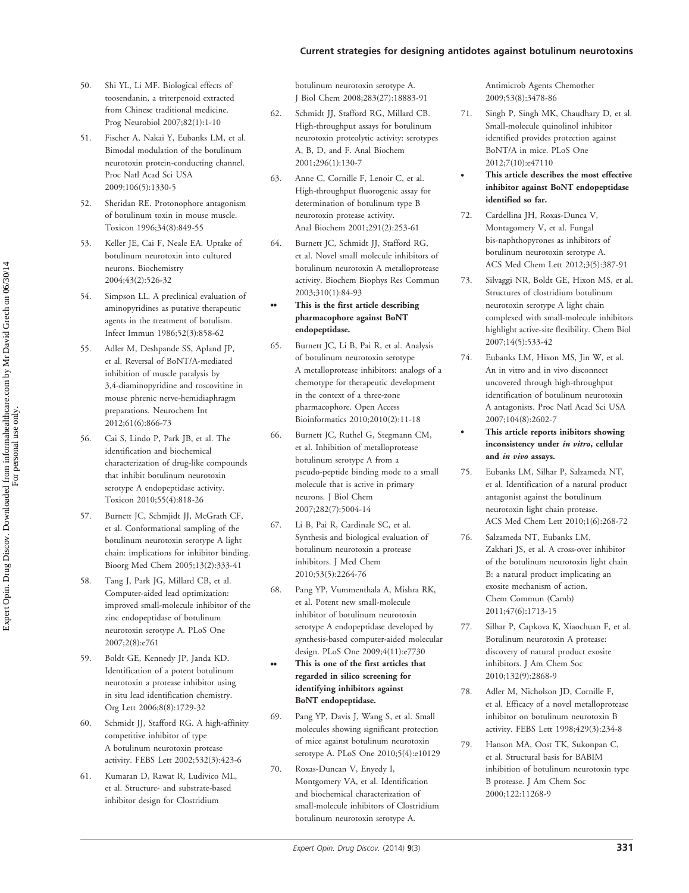#### Current strategies for designing antidotes against botulinum neurotoxins

- <span id="page-12-0"></span>50. Shi YL, Li MF. [Biological effects of](www.ncbi.nlm.nih.gov/pubmed/17363132?dopt=Abstract) [toosendanin, a triterpenoid extracted](www.ncbi.nlm.nih.gov/pubmed/17363132?dopt=Abstract) [from Chinese traditional medicine](www.ncbi.nlm.nih.gov/pubmed/17363132?dopt=Abstract). Prog Neurobiol 2007;82(1):1-10
- 51. Fischer A, Nakai Y, Eubanks LM, et al. [Bimodal modulation of the botulinum](www.ncbi.nlm.nih.gov/pubmed/19164566?dopt=Abstract) [neurotoxin protein-conducting channel.](www.ncbi.nlm.nih.gov/pubmed/19164566?dopt=Abstract) Proc Natl Acad Sci USA 2009;106(5):1330-5
- 52. Sheridan RE. [Protonophore antagonism](www.ncbi.nlm.nih.gov/pubmed/8875772?dopt=Abstract) [of botulinum toxin in mouse muscle.](www.ncbi.nlm.nih.gov/pubmed/8875772?dopt=Abstract) Toxicon 1996;34(8):849-55
- 53. Keller JE, Cai F, Neale EA. [Uptake of](www.ncbi.nlm.nih.gov/pubmed/14717608?dopt=Abstract) [botulinum neurotoxin into cultured](www.ncbi.nlm.nih.gov/pubmed/14717608?dopt=Abstract) [neurons.](www.ncbi.nlm.nih.gov/pubmed/14717608?dopt=Abstract) Biochemistry 2004;43(2):526-32
- 54. Simpson LL. [A preclinical evaluation of](www.ncbi.nlm.nih.gov/pubmed/3011675?dopt=Abstract) [aminopyridines as putative therapeutic](www.ncbi.nlm.nih.gov/pubmed/3011675?dopt=Abstract) [agents in the treatment of botulism.](www.ncbi.nlm.nih.gov/pubmed/3011675?dopt=Abstract) Infect Immun 1986;52(3):858-62
- 55. Adler M, Deshpande SS, Apland JP, et al. [Reversal of BoNT/A-mediated](www.ncbi.nlm.nih.gov/pubmed/22841859?dopt=Abstract) [inhibition of muscle paralysis by](www.ncbi.nlm.nih.gov/pubmed/22841859?dopt=Abstract) [3,4-diaminopyridine and roscovitine in](www.ncbi.nlm.nih.gov/pubmed/22841859?dopt=Abstract) [mouse phrenic nerve-hemidiaphragm](www.ncbi.nlm.nih.gov/pubmed/22841859?dopt=Abstract) [preparations](www.ncbi.nlm.nih.gov/pubmed/22841859?dopt=Abstract). Neurochem Int 2012;61(6):866-73
- 56. Cai S, Lindo P, Park JB, et al. [The](www.ncbi.nlm.nih.gov/pubmed/20003913?dopt=Abstract) [identification and biochemical](www.ncbi.nlm.nih.gov/pubmed/20003913?dopt=Abstract) [characterization of drug-like compounds](www.ncbi.nlm.nih.gov/pubmed/20003913?dopt=Abstract) [that inhibit botulinum neurotoxin](www.ncbi.nlm.nih.gov/pubmed/20003913?dopt=Abstract) [serotype A endopeptidase activity.](www.ncbi.nlm.nih.gov/pubmed/20003913?dopt=Abstract) Toxicon 2010;55(4):818-26
- 57. Burnett JC, Schmjidt JJ, McGrath CF, et al. [Conformational sampling of the](www.ncbi.nlm.nih.gov/pubmed/15598556?dopt=Abstract) [botulinum neurotoxin serotype A light](www.ncbi.nlm.nih.gov/pubmed/15598556?dopt=Abstract) [chain: implications for inhibitor binding.](www.ncbi.nlm.nih.gov/pubmed/15598556?dopt=Abstract) Bioorg Med Chem 2005;13(2):333-41
- 58. Tang J, Park JG, Millard CB, et al. [Computer-aided lead optimization:](www.ncbi.nlm.nih.gov/pubmed/17712409?dopt=Abstract) [improved small-molecule inhibitor of the](www.ncbi.nlm.nih.gov/pubmed/17712409?dopt=Abstract) [zinc endopeptidase of botulinum](www.ncbi.nlm.nih.gov/pubmed/17712409?dopt=Abstract) [neurotoxin serotype A.](www.ncbi.nlm.nih.gov/pubmed/17712409?dopt=Abstract) PLoS One 2007;2(8):e761
- 59. Boldt GE, Kennedy JP, Janda KD. [Identification of a potent botulinum](www.ncbi.nlm.nih.gov/pubmed/16597152?dopt=Abstract) [neurotoxin a protease inhibitor using](www.ncbi.nlm.nih.gov/pubmed/16597152?dopt=Abstract) [in situ lead identification chemistry.](www.ncbi.nlm.nih.gov/pubmed/16597152?dopt=Abstract) Org Lett 2006;8(8):1729-32
- 60. Schmidt JJ, Stafford RG. [A high-affinity](www.ncbi.nlm.nih.gov/pubmed/12482605?dopt=Abstract) [competitive inhibitor of type](www.ncbi.nlm.nih.gov/pubmed/12482605?dopt=Abstract) [A botulinum neurotoxin protease](www.ncbi.nlm.nih.gov/pubmed/12482605?dopt=Abstract) [activity](www.ncbi.nlm.nih.gov/pubmed/12482605?dopt=Abstract). FEBS Lett 2002;532(3):423-6
- 61. Kumaran D, Rawat R, Ludivico ML, et al. [Structure- and substrate-based](www.ncbi.nlm.nih.gov/pubmed/18434312?dopt=Abstract) [inhibitor design for Clostridium](www.ncbi.nlm.nih.gov/pubmed/18434312?dopt=Abstract)

[botulinum neurotoxin serotype A](www.ncbi.nlm.nih.gov/pubmed/18434312?dopt=Abstract). J Biol Chem 2008;283(27):18883-91

- 62. Schmidt JJ, Stafford RG, Millard CB. [High-throughput assays for botulinum](www.ncbi.nlm.nih.gov/pubmed/11520041?dopt=Abstract) [neurotoxin proteolytic activity: serotypes](www.ncbi.nlm.nih.gov/pubmed/11520041?dopt=Abstract) [A, B, D, and F.](www.ncbi.nlm.nih.gov/pubmed/11520041?dopt=Abstract) Anal Biochem 2001;296(1):130-7
- 63. Anne C, Cornille F, Lenoir C, et al. [High-throughput fluorogenic assay for](www.ncbi.nlm.nih.gov/pubmed/11401299?dopt=Abstract) [determination of botulinum type B](www.ncbi.nlm.nih.gov/pubmed/11401299?dopt=Abstract) [neurotoxin protease activity.](www.ncbi.nlm.nih.gov/pubmed/11401299?dopt=Abstract) Anal Biochem 2001;291(2):253-61
- 64. Burnett JC, Schmidt JJ, Stafford RG, et al. [Novel small molecule inhibitors of](www.ncbi.nlm.nih.gov/pubmed/14511652?dopt=Abstract) [botulinum neurotoxin A metalloprotease](www.ncbi.nlm.nih.gov/pubmed/14511652?dopt=Abstract) [activity.](www.ncbi.nlm.nih.gov/pubmed/14511652?dopt=Abstract) Biochem Biophys Res Commun 2003;310(1):84-93
- .. This is the first article describing pharmacophore against BoNT endopeptidase.
- 65. Burnett JC, Li B, Pai R, et al. [Analysis](www.ncbi.nlm.nih.gov/pubmed/21103387?dopt=Abstract) [of botulinum neurotoxin serotype](www.ncbi.nlm.nih.gov/pubmed/21103387?dopt=Abstract) [A metalloprotease inhibitors: analogs of a](www.ncbi.nlm.nih.gov/pubmed/21103387?dopt=Abstract) [chemotype for therapeutic development](www.ncbi.nlm.nih.gov/pubmed/21103387?dopt=Abstract) [in the context of a three-zone](www.ncbi.nlm.nih.gov/pubmed/21103387?dopt=Abstract) [pharmacophore.](www.ncbi.nlm.nih.gov/pubmed/21103387?dopt=Abstract) Open Access Bioinformatics 2010;2010(2):11-18
- 66. Burnett JC, Ruthel G, Stegmann CM, et al. [Inhibition of metalloprotease](www.ncbi.nlm.nih.gov/pubmed/17092934?dopt=Abstract) [botulinum serotype A from a](www.ncbi.nlm.nih.gov/pubmed/17092934?dopt=Abstract) [pseudo-peptide binding mode to a small](www.ncbi.nlm.nih.gov/pubmed/17092934?dopt=Abstract) [molecule that is active in primary](www.ncbi.nlm.nih.gov/pubmed/17092934?dopt=Abstract) [neurons](www.ncbi.nlm.nih.gov/pubmed/17092934?dopt=Abstract). J Biol Chem 2007;282(7):5004-14
- 67. Li B, Pai R, Cardinale SC, et al. [Synthesis and biological evaluation of](www.ncbi.nlm.nih.gov/pubmed/20155918?dopt=Abstract) [botulinum neurotoxin a protease](www.ncbi.nlm.nih.gov/pubmed/20155918?dopt=Abstract) [inhibitors](www.ncbi.nlm.nih.gov/pubmed/20155918?dopt=Abstract). J Med Chem 2010;53(5):2264-76
- 68. Pang YP, Vummenthala A, Mishra RK, et al. [Potent new small-molecule](www.ncbi.nlm.nih.gov/pubmed/19901994?dopt=Abstract) [inhibitor of botulinum neurotoxin](www.ncbi.nlm.nih.gov/pubmed/19901994?dopt=Abstract) [serotype A endopeptidase developed by](www.ncbi.nlm.nih.gov/pubmed/19901994?dopt=Abstract) [synthesis-based computer-aided molecular](www.ncbi.nlm.nih.gov/pubmed/19901994?dopt=Abstract) [design](www.ncbi.nlm.nih.gov/pubmed/19901994?dopt=Abstract). PLoS One 2009;4(11):e7730
- This is one of the first articles that regarded in silico screening for identifying inhibitors against BoNT endopeptidase.
- 69. Pang YP, Davis J, Wang S, et al. [Small](www.ncbi.nlm.nih.gov/pubmed/20405003?dopt=Abstract) [molecules showing significant protection](www.ncbi.nlm.nih.gov/pubmed/20405003?dopt=Abstract) [of mice against botulinum neurotoxin](www.ncbi.nlm.nih.gov/pubmed/20405003?dopt=Abstract) [serotype A](www.ncbi.nlm.nih.gov/pubmed/20405003?dopt=Abstract). PLoS One 2010;5(4):e10129
- 70. Roxas-Duncan V, Enyedy I, Montgomery VA, et al. [Identification](www.ncbi.nlm.nih.gov/pubmed/19528275?dopt=Abstract) [and biochemical characterization of](www.ncbi.nlm.nih.gov/pubmed/19528275?dopt=Abstract) [small-molecule inhibitors of Clostridium](www.ncbi.nlm.nih.gov/pubmed/19528275?dopt=Abstract) [botulinum neurotoxin serotype A](www.ncbi.nlm.nih.gov/pubmed/19528275?dopt=Abstract).

Antimicrob Agents Chemother 2009;53(8):3478-86

- 71. Singh P, Singh MK, Chaudhary D, et al. [Small-molecule quinolinol inhibitor](www.ncbi.nlm.nih.gov/pubmed/23071727?dopt=Abstract) [identified provides protection against](www.ncbi.nlm.nih.gov/pubmed/23071727?dopt=Abstract) [BoNT/A in mice.](www.ncbi.nlm.nih.gov/pubmed/23071727?dopt=Abstract) PLoS One 2012;7(10):e47110
- . This article describes the most effective inhibitor against BoNT endopeptidase identified so far.
- 72. Cardellina JH, Roxas-Dunca V, Montagomery V, et al. Fungal bis-naphthopyrones as inhibitors of botulinum neurotoxin serotype A. ACS Med Chem Lett 2012;3(5):387-91
- 73. Silvaggi NR, Boldt GE, Hixon MS, et al. [Structures of clostridium botulinum](www.ncbi.nlm.nih.gov/pubmed/17524984?dopt=Abstract) [neurotoxin serotype A light chain](www.ncbi.nlm.nih.gov/pubmed/17524984?dopt=Abstract) [complexed with small-molecule inhibitors](www.ncbi.nlm.nih.gov/pubmed/17524984?dopt=Abstract) [highlight active-site flexibility.](www.ncbi.nlm.nih.gov/pubmed/17524984?dopt=Abstract) Chem Biol 2007;14(5):533-42
- 74. Eubanks LM, Hixon MS, Jin W, et al. [An in vitro and in vivo disconnect](www.ncbi.nlm.nih.gov/pubmed/17293454?dopt=Abstract) [uncovered through high-throughput](www.ncbi.nlm.nih.gov/pubmed/17293454?dopt=Abstract) [identification of botulinum neurotoxin](www.ncbi.nlm.nih.gov/pubmed/17293454?dopt=Abstract) [A antagonists.](www.ncbi.nlm.nih.gov/pubmed/17293454?dopt=Abstract) Proc Natl Acad Sci USA 2007;104(8):2602-7
- . This article reports inibitors showing inconsistency under in vitro, cellular and in vivo assays.
- 75. Eubanks LM, Silhar P, Salzameda NT, et al. [Identification of a natural product](www.ncbi.nlm.nih.gov/pubmed/20959871?dopt=Abstract) [antagonist against the botulinum](www.ncbi.nlm.nih.gov/pubmed/20959871?dopt=Abstract) [neurotoxin light chain protease](www.ncbi.nlm.nih.gov/pubmed/20959871?dopt=Abstract). ACS Med Chem Lett 2010;1(6):268-72
- 76. Salzameda NT, Eubanks LM, Zakhari JS, et al. [A cross-over inhibitor](www.ncbi.nlm.nih.gov/pubmed/21203627?dopt=Abstract) [of the botulinum neurotoxin light chain](www.ncbi.nlm.nih.gov/pubmed/21203627?dopt=Abstract) [B: a natural product implicating an](www.ncbi.nlm.nih.gov/pubmed/21203627?dopt=Abstract) [exosite mechanism of action](www.ncbi.nlm.nih.gov/pubmed/21203627?dopt=Abstract). Chem Commun (Camb) 2011;47(6):1713-15
- 77. Silhar P, Capkova K, Xiaochuan F, et al. [Botulinum neurotoxin A protease:](www.ncbi.nlm.nih.gov/pubmed/20158239?dopt=Abstract) [discovery of natural product exosite](www.ncbi.nlm.nih.gov/pubmed/20158239?dopt=Abstract) [inhibitors.](www.ncbi.nlm.nih.gov/pubmed/20158239?dopt=Abstract) J Am Chem Soc 2010;132(9):2868-9
- 78. Adler M, Nicholson JD, Cornille F, et al. [Efficacy of a novel metalloprotease](www.ncbi.nlm.nih.gov/pubmed/9662424?dopt=Abstract) [inhibitor on botulinum neurotoxin B](www.ncbi.nlm.nih.gov/pubmed/9662424?dopt=Abstract) [activity](www.ncbi.nlm.nih.gov/pubmed/9662424?dopt=Abstract). FEBS Lett 1998;429(3):234-8
- 79. Hanson MA, Oost TK, Sukonpan C, et al. Structural basis for BABIM inhibition of botulinum neurotoxin type B protease. J Am Chem Soc 2000;122:11268-9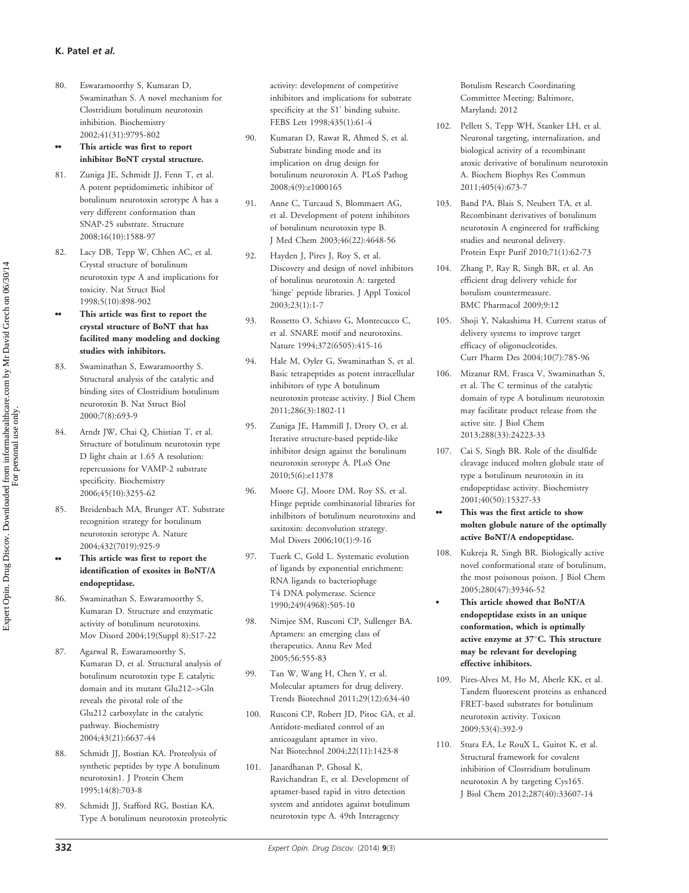- <span id="page-13-0"></span>80. Eswaramoorthy S, Kumaran D, Swaminathan S. [A novel mechanism for](www.ncbi.nlm.nih.gov/pubmed/12146945?dopt=Abstract) [Clostridium botulinum neurotoxin](www.ncbi.nlm.nih.gov/pubmed/12146945?dopt=Abstract) [inhibition.](www.ncbi.nlm.nih.gov/pubmed/12146945?dopt=Abstract) Biochemistry 2002;41(31):9795-802
- This article was first to report inhibitor BoNT crystal structure.
- 81. Zuniga JE, Schmidt JJ, Fenn T, et al. [A potent peptidomimetic inhibitor of](www.ncbi.nlm.nih.gov/pubmed/18940613?dopt=Abstract) [botulinum neurotoxin serotype A has a](www.ncbi.nlm.nih.gov/pubmed/18940613?dopt=Abstract) [very different conformation than](www.ncbi.nlm.nih.gov/pubmed/18940613?dopt=Abstract) [SNAP-25 substrate.](www.ncbi.nlm.nih.gov/pubmed/18940613?dopt=Abstract) Structure 2008;16(10):1588-97
- 82. Lacy DB, Tepp W, Chhen AC, et al. [Crystal structure of botulinum](www.ncbi.nlm.nih.gov/pubmed/9783750?dopt=Abstract) [neurotoxin type A and implications for](www.ncbi.nlm.nih.gov/pubmed/9783750?dopt=Abstract) [toxicity.](www.ncbi.nlm.nih.gov/pubmed/9783750?dopt=Abstract) Nat Struct Biol 1998;5(10):898-902
- This article was first to report the crystal structure of BoNT that has facilited many modeling and docking studies with inhibitors.
- 83. Swaminathan S, Eswaramoorthy S. Structural analysis of the catalytic and binding sites of Clostridium botulinum neurotoxin B. Nat Struct Biol 2000;7(8):693-9
- 84. Arndt JW, Chai Q, Chistian T, et al. [Structure of botulinum neurotoxin type](www.ncbi.nlm.nih.gov/pubmed/16519520?dopt=Abstract) [D light chain at 1.65 A resolution:](www.ncbi.nlm.nih.gov/pubmed/16519520?dopt=Abstract) [repercussions for VAMP-2 substrate](www.ncbi.nlm.nih.gov/pubmed/16519520?dopt=Abstract) [specificity](www.ncbi.nlm.nih.gov/pubmed/16519520?dopt=Abstract). Biochemistry 2006;45(10):3255-62
- 85. Breidenbach MA, Brunger AT. [Substrate](www.ncbi.nlm.nih.gov/pubmed/15592454?dopt=Abstract) [recognition strategy for botulinum](www.ncbi.nlm.nih.gov/pubmed/15592454?dopt=Abstract) [neurotoxin serotype A](www.ncbi.nlm.nih.gov/pubmed/15592454?dopt=Abstract). Nature 2004;432(7019):925-9
- This article was first to report the identification of exosites in BoNT/A endopeptidase.
- 86. Swaminathan S, Eswaramoorthy S, Kumaran D. [Structure and enzymatic](www.ncbi.nlm.nih.gov/pubmed/15027050?dopt=Abstract) [activity of botulinum neurotoxins](www.ncbi.nlm.nih.gov/pubmed/15027050?dopt=Abstract). Mov Disord 2004;19(Suppl 8):S17-22
- 87. Agarwal R, Eswaramoorthy S, Kumaran D, et al. [Structural analysis of](www.ncbi.nlm.nih.gov/pubmed/15157097?dopt=Abstract) [botulinum neurotoxin type E catalytic](www.ncbi.nlm.nih.gov/pubmed/15157097?dopt=Abstract) [domain and its mutant Glu212–>Gln](www.ncbi.nlm.nih.gov/pubmed/15157097?dopt=Abstract) [reveals the pivotal role of the](www.ncbi.nlm.nih.gov/pubmed/15157097?dopt=Abstract) [Glu212 carboxylate in the catalytic](www.ncbi.nlm.nih.gov/pubmed/15157097?dopt=Abstract) [pathway.](www.ncbi.nlm.nih.gov/pubmed/15157097?dopt=Abstract) Biochemistry 2004;43(21):6637-44
- 88. Schmidt JJ, Bostian KA. [Proteolysis of](www.ncbi.nlm.nih.gov/pubmed/8747431?dopt=Abstract) [synthetic peptides by type A botulinum](www.ncbi.nlm.nih.gov/pubmed/8747431?dopt=Abstract) [neurotoxin1.](www.ncbi.nlm.nih.gov/pubmed/8747431?dopt=Abstract) J Protein Chem 1995;14(8):703-8
- 89. Schmidt JJ, Stafford RG, Bostian KA. [Type A botulinum neurotoxin proteolytic](www.ncbi.nlm.nih.gov/pubmed/9755859?dopt=Abstract)

[activity: development of competitive](www.ncbi.nlm.nih.gov/pubmed/9755859?dopt=Abstract) [inhibitors and implications for substrate](www.ncbi.nlm.nih.gov/pubmed/9755859?dopt=Abstract) [specificity at the S1' binding subsite.](www.ncbi.nlm.nih.gov/pubmed/9755859?dopt=Abstract) FEBS Lett 1998;435(1):61-4

- 90. Kumaran D, Rawat R, Ahmed S, et al. [Substrate binding mode and its](www.ncbi.nlm.nih.gov/pubmed/18818739?dopt=Abstract) [implication on drug design for](www.ncbi.nlm.nih.gov/pubmed/18818739?dopt=Abstract) [botulinum neurotoxin A](www.ncbi.nlm.nih.gov/pubmed/18818739?dopt=Abstract). PLoS Pathog 2008;4(9):e1000165
- 91. Anne C, Turcaud S, Blommaert AG, et al. [Development of potent inhibitors](www.ncbi.nlm.nih.gov/pubmed/14561084?dopt=Abstract) [of botulinum neurotoxin type B.](www.ncbi.nlm.nih.gov/pubmed/14561084?dopt=Abstract) J Med Chem 2003;46(22):4648-56
- 92. Hayden J, Pires J, Roy S, et al. [Discovery and design of novel inhibitors](www.ncbi.nlm.nih.gov/pubmed/12518330?dopt=Abstract) [of botulinus neurotoxin A: targeted](www.ncbi.nlm.nih.gov/pubmed/12518330?dopt=Abstract) ['hinge' peptide libraries.](www.ncbi.nlm.nih.gov/pubmed/12518330?dopt=Abstract) J Appl Toxicol 2003;23(1):1-7
- 93. Rossetto O, Schiavo G, Montecucco C, et al. [SNARE motif and neurotoxins.](www.ncbi.nlm.nih.gov/pubmed/7984234?dopt=Abstract) Nature 1994;372(6505):415-16
- 94. Hale M, Oyler G, Swaminathan S, et al. [Basic tetrapeptides as potent intracellular](www.ncbi.nlm.nih.gov/pubmed/20961849?dopt=Abstract) [inhibitors of type A botulinum](www.ncbi.nlm.nih.gov/pubmed/20961849?dopt=Abstract) [neurotoxin protease activity.](www.ncbi.nlm.nih.gov/pubmed/20961849?dopt=Abstract) J Biol Chem 2011;286(3):1802-11
- 95. Zuniga JE, Hammill J, Drory O, et al. [Iterative structure-based peptide-like](www.ncbi.nlm.nih.gov/pubmed/20614028?dopt=Abstract) [inhibitor design against the botulinum](www.ncbi.nlm.nih.gov/pubmed/20614028?dopt=Abstract) [neurotoxin serotype A.](www.ncbi.nlm.nih.gov/pubmed/20614028?dopt=Abstract) PLoS One 2010;5(6):e11378
- 96. Moore GJ, Moore DM, Roy SS, et al. [Hinge peptide combinatorial libraries for](www.ncbi.nlm.nih.gov/pubmed/16404524?dopt=Abstract) [inhilbitors of botulinum neurotoxins and](www.ncbi.nlm.nih.gov/pubmed/16404524?dopt=Abstract) [saxitoxin: deconvolution strategy](www.ncbi.nlm.nih.gov/pubmed/16404524?dopt=Abstract). Mol Divers 2006;10(1):9-16
- 97. Tuerk C, Gold L. [Systematic evolution](www.ncbi.nlm.nih.gov/pubmed/2200121?dopt=Abstract) [of ligands by exponential enrichment:](www.ncbi.nlm.nih.gov/pubmed/2200121?dopt=Abstract) [RNA ligands to bacteriophage](www.ncbi.nlm.nih.gov/pubmed/2200121?dopt=Abstract) [T4 DNA polymerase.](www.ncbi.nlm.nih.gov/pubmed/2200121?dopt=Abstract) Science 1990;249(4968):505-10
- 98. Nimjee SM, Rusconi CP, Sullenger BA. [Aptamers: an emerging class of](www.ncbi.nlm.nih.gov/pubmed/15660527?dopt=Abstract) [therapeutics](www.ncbi.nlm.nih.gov/pubmed/15660527?dopt=Abstract). Annu Rev Med 2005;56:555-83
- 99. Tan W, Wang H, Chen Y, et al. [Molecular aptamers for drug delivery.](www.ncbi.nlm.nih.gov/pubmed/21821299?dopt=Abstract) Trends Biotechnol 2011;29(12):634-40
- 100. Rusconi CP, Robert JD, Pitoc GA, et al. [Antidote-mediated control of an](www.ncbi.nlm.nih.gov/pubmed/15502817?dopt=Abstract) [anticoagulant aptamer in vivo.](www.ncbi.nlm.nih.gov/pubmed/15502817?dopt=Abstract) Nat Biotechnol 2004;22(11):1423-8
- 101. Janardhanan P, Ghosal K, Ravichandran E, et al. Development of aptamer-based rapid in vitro detection system and antidotes against botulinum neurotoxin type A. 49th Interagency

Botulism Research Coordinating Committee Meeting; Baltimore, Maryland; 2012

- 102. Pellett S, Tepp WH, Stanker LH, et al. [Neuronal targeting, internalization, and](www.ncbi.nlm.nih.gov/pubmed/21284937?dopt=Abstract) [biological activity of a recombinant](www.ncbi.nlm.nih.gov/pubmed/21284937?dopt=Abstract) [atoxic derivative of botulinum neurotoxin](www.ncbi.nlm.nih.gov/pubmed/21284937?dopt=Abstract) [A](www.ncbi.nlm.nih.gov/pubmed/21284937?dopt=Abstract). Biochem Biophys Res Commun 2011;405(4):673-7
- 103. Band PA, Blais S, Neubert TA, et al. [Recombinant derivatives of botulinum](www.ncbi.nlm.nih.gov/pubmed/20045734?dopt=Abstract) [neurotoxin A engineered for trafficking](www.ncbi.nlm.nih.gov/pubmed/20045734?dopt=Abstract) [studies and neuronal delivery.](www.ncbi.nlm.nih.gov/pubmed/20045734?dopt=Abstract) Protein Expr Purif 2010;71(1):62-73
- 104. Zhang P, Ray R, Singh BR, et al. [An](www.ncbi.nlm.nih.gov/pubmed/19860869?dopt=Abstract) [efficient drug delivery vehicle for](www.ncbi.nlm.nih.gov/pubmed/19860869?dopt=Abstract) [botulism countermeasure.](www.ncbi.nlm.nih.gov/pubmed/19860869?dopt=Abstract) BMC Pharmacol 2009;9:12
- 105. Shoji Y, Nakashima H. [Current status of](www.ncbi.nlm.nih.gov/pubmed/15032703?dopt=Abstract) [delivery systems to improve target](www.ncbi.nlm.nih.gov/pubmed/15032703?dopt=Abstract) [efficacy of oligonucleotides.](www.ncbi.nlm.nih.gov/pubmed/15032703?dopt=Abstract) Curr Pharm Des 2004;10(7):785-96
- 106. Mizanur RM, Frasca V, Swaminathan S, et al. [The C terminus of the catalytic](www.ncbi.nlm.nih.gov/pubmed/23779108?dopt=Abstract) [domain of type A botulinum neurotoxin](www.ncbi.nlm.nih.gov/pubmed/23779108?dopt=Abstract) [may facilitate product release from the](www.ncbi.nlm.nih.gov/pubmed/23779108?dopt=Abstract) [active site.](www.ncbi.nlm.nih.gov/pubmed/23779108?dopt=Abstract) J Biol Chem 2013;288(33):24223-33
- 107. Cai S, Singh BR. [Role of the disulfide](www.ncbi.nlm.nih.gov/pubmed/11735415?dopt=Abstract) [cleavage induced molten globule state of](www.ncbi.nlm.nih.gov/pubmed/11735415?dopt=Abstract) [type a botulinum neurotoxin in its](www.ncbi.nlm.nih.gov/pubmed/11735415?dopt=Abstract) [endopeptidase activity](www.ncbi.nlm.nih.gov/pubmed/11735415?dopt=Abstract). Biochemistry 2001;40(50):15327-33
- .. This was the first article to show molten globule nature of the optimally active BoNT/A endopeptidase.
- 108. Kukreja R, Singh BR. [Biologically active](www.ncbi.nlm.nih.gov/pubmed/16179354?dopt=Abstract) [novel conformational state of botulinum,](www.ncbi.nlm.nih.gov/pubmed/16179354?dopt=Abstract) [the most poisonous poison.](www.ncbi.nlm.nih.gov/pubmed/16179354?dopt=Abstract) J Biol Chem 2005;280(47):39346-52
- . This article showed that BoNT/A endopeptidase exists in an unique conformation, which is optimally active enzyme at  $37^{\circ}$ C. This structure may be relevant for developing effective inhibitors.
- 109. Pires-Alves M, Ho M, Aberle KK, et al. [Tandem fluorescent proteins as enhanced](www.ncbi.nlm.nih.gov/pubmed/19168088?dopt=Abstract) [FRET-based substrates for botulinum](www.ncbi.nlm.nih.gov/pubmed/19168088?dopt=Abstract) [neurotoxin activity](www.ncbi.nlm.nih.gov/pubmed/19168088?dopt=Abstract). Toxicon 2009;53(4):392-9
- 110. Stura EA, Le RouX L, Guitot K, et al. [Structural framework for covalent](www.ncbi.nlm.nih.gov/pubmed/22869371?dopt=Abstract) [inhibition of Clostridium botulinum](www.ncbi.nlm.nih.gov/pubmed/22869371?dopt=Abstract) [neurotoxin A by targeting Cys165](www.ncbi.nlm.nih.gov/pubmed/22869371?dopt=Abstract). J Biol Chem 2012;287(40):33607-14